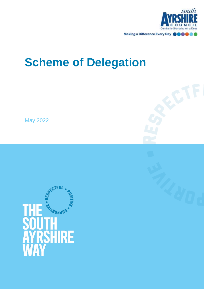

# **Scheme of Delegation**

May 2022

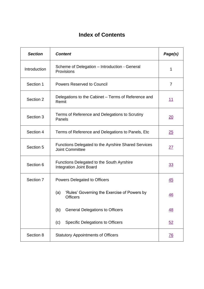# **Index of Contents**

| <b>Section</b> | <b>Content</b>                                                                       | Page(s)          |
|----------------|--------------------------------------------------------------------------------------|------------------|
| Introduction   | Scheme of Delegation - Introduction - General<br>Provisions                          | 1                |
| Section 1      | <b>Powers Reserved to Council</b>                                                    | $\overline{7}$   |
| Section 2      | Delegations to the Cabinet – Terms of Reference and<br>Remit                         | 11               |
| Section 3      | Terms of Reference and Delegations to Scrutiny<br>Panels                             | <u>20</u>        |
| Section 4      | Terms of Reference and Delegations to Panels, Etc.                                   | 25               |
| Section 5      | <b>Functions Delegated to the Ayrshire Shared Services</b><br><b>Joint Committee</b> | 27               |
| Section 6      | Functions Delegated to the South Ayrshire<br><b>Integration Joint Board</b>          | <u>33</u>        |
| Section 7      | Powers Delegated to Officers                                                         | 45               |
|                | 'Rules' Governing the Exercise of Powers by<br>(a)<br><b>Officers</b>                | 46               |
|                | <b>General Delegations to Officers</b><br>(b)                                        | $\underline{48}$ |
|                | <b>Specific Delegations to Officers</b><br>(c)                                       | 52               |
| Section 8      | <b>Statutory Appointments of Officers</b>                                            | <u>76</u>        |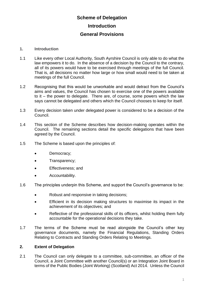# **Scheme of Delegation Introduction General Provisions**

#### <span id="page-3-0"></span>**1. Introduction**

- 1.1 Like every other Local Authority, South Ayrshire Council is only able to do what the law empowers it to do. In the absence of a decision by the Council to the contrary, all of its powers would have to be exercised through meetings of the full Council. That is, all decisions no matter how large or how small would need to be taken at meetings of the full Council.
- 1.2 Recognising that this would be unworkable and would detract from the Council's aims and values, the Council has chosen to exercise one of the powers available to it – the power to delegate. There are, of course, some powers which the law says cannot be delegated and others which the Council chooses to keep for itself.
- 1.3 Every decision taken under delegated power is considered to be a decision of the Council.
- 1.4 This section of the Scheme describes how decision-making operates within the Council. The remaining sections detail the specific delegations that have been agreed by the Council.
- 1.5 The Scheme is based upon the principles of:
	- Democracy:
	- Transparency;
	- Effectiveness; and
	- Accountability.
- 1.6 The principles underpin this Scheme, and support the Council's governance to be:
	- Robust and responsive in taking decisions;
	- Efficient in its decision making structures to maximise its impact in the achievement of its objectives; and
	- Reflective of the professional skills of its officers, whilst holding them fully accountable for the operational decisions they take.
- 1.7 The terms of the Scheme must be read alongside the Council's other key governance documents, namely the Financial Regulations, Standing Orders Relating to Contracts and Standing Orders Relating to Meetings.

#### **2. Extent of Delegation**

2.1 The Council can only delegate to a committee, sub-committee, an officer of the Council, a Joint Committee with another Council(s) or an Integration Joint Board in terms of the Public Bodies (Joint Working) (Scotland) Act 2014. Unless the Council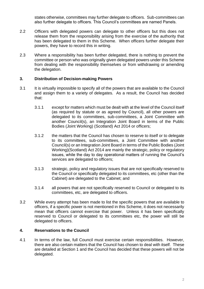states otherwise, committees may further delegate to officers. Sub-committees can also further delegate to officers. This Council's committees are named Panels.

- 2.2 Officers with delegated powers can delegate to other officers but this does not release them from the responsibility arising from the exercise of the authority that has been delegated to them in this Scheme. When officers further delegate their powers, they have to record this in writing.
- 2.3 Where a responsibility has been further delegated, there is nothing to prevent the committee or person who was originally given delegated powers under this Scheme from dealing with the responsibility themselves or from withdrawing or amending the delegation.

#### **3. Distribution of Decision-making Powers**

- 3.1 It is virtually impossible to specify all of the powers that are available to the Council and assign them to a variety of delegates. As a result, the Council has decided that:
	- 3.1.1 except for matters which must be dealt with at the level of the Council itself (as required by statute or as agreed by Council), all other powers are delegated to its committees, sub-committees, a Joint Committee with another Council(s), an Integration Joint Board in terms of the Public Bodies (Joint Working) (Scotland) Act 2014 or officers;
	- 3.1.2 the matters that the Council has chosen to reserve to itself or to delegate to its committees, sub-committees, a Joint Committee with another Council(s) or an Integration Joint Board in terms of the Public Bodies (Joint Working)(Scotland) Act 2014 are mainly the strategic, policy or regulatory issues, while the day to day operational matters of running the Council's services are delegated to officers;
	- 3.1.3 strategic, policy and regulatory issues that are not specifically reserved to the Council or specifically delegated to its committees, etc (other than the Cabinet) are delegated to the Cabinet; and
	- 3.1.4 all powers that are not specifically reserved to Council or delegated to its committees, etc, are delegated to officers.
- 3.2 While every attempt has been made to list the specific powers that are available to officers, if a specific power is not mentioned in this Scheme, it does not necessarily mean that officers cannot exercise that power. Unless it has been specifically reserved to Council or delegated to its committees etc, the power will still be delegated to officers.

#### **4. Reservations to the Council**

4.1 In terms of the law, full Council must exercise certain responsibilities. However, there are also certain matters that the Council has chosen to deal with itself. These are detailed at Section 1 and the Council has decided that these powers will not be delegated.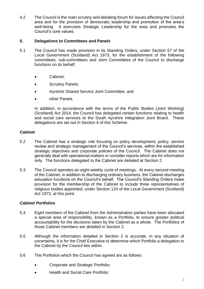4.2 The Council is the main scrutiny and debating forum for issues affecting the Council area and for the provision of democratic leadership and promotion of the area's well-being. It exercises Strategic Leadership for the area and promotes the Council's core values.

#### **5. Delegations to Committees and Panels**

- 5.1 The Council has made provision in its Standing Orders, under Section 57 of the Local Government (Scotland) Act 1973, for the establishment of the following committees, sub-committees and Joint Committees of the Council to discharge functions on its behalf:
	- Cabinet;
	- Scrutiny Panels;
	- Ayrshire Shared Service Joint Committee; and
	- other Panels.

In addition, in accordance with the terms of the Public Bodies (Joint Working) (Scotland) Act 2014, the Council has delegated certain functions relating to health and social care services to the South Ayrshire Integration Joint Board. These delegations are set out in Section 6 of this Scheme.

#### *Cabinet*

- 5.2 The Cabinet has a strategic role focusing on policy development, policy, service review and strategic management of the Council's services, within the established strategic objectives and corporate policies of the Council. The Cabinet does not generally deal with operational matters or consider reports which are for information only. The functions delegated to the Cabinet are detailed at Section 2.
- 5.3 The Council operates an eight-weekly cycle of meetings. At every second meeting of the Cabinet, in addition to discharging ordinary business, the Cabinet discharges education functions on the Council's behalf. The Council's Standing Orders make provision for the membership of the Cabinet to include three representatives of religious bodies appointed, under Section 124 of the Local Government (Scotland) Act 1973, at this point.

#### *Cabinet Portfolios*

- 5.4 Eight members of the Cabinet from the Administration parties have been allocated a special area of responsibility, known as a Portfolio, to ensure greater political accountability for the decisions taken by the Cabinet as a whole. The Portfolios of those Cabinet members are detailed in Section 2.
- 5.5 Although the information detailed in Section 2 is accurate, in any situation of uncertainty, it is for the Chief Executive to determine which Portfolio a delegation to the Cabinet by the Council lies within.
- 5.6 The Portfolios which the Council has agreed are as follows:
	- Corporate and Strategic Portfolio;
	- Health and Social Care Portfolio;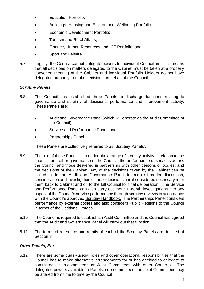- Education Portfolio;
- Buildings, Housing and Environment Wellbeing Portfolio;
- Economic Development Portfolio;
- Tourism and Rural Affairs;
- Finance, Human Resources and ICT Portfolio; and
- Sport and Leisure.
- 5.7 Legally, the Council cannot delegate powers to individual Councillors. This means that all decisions on matters delegated to the Cabinet must be taken at a properly convened meeting of the Cabinet and individual Portfolio Holders do not have delegated authority to make decisions on behalf of the Council.

#### *Scrutiny Panels*

- 5.8 The Council has established three Panels to discharge functions relating to governance and scrutiny of decisions, performance and improvement activity. These Panels are:
	- Audit and Governance Panel (which will operate as the Audit Committee of the Council);
	- Service and Performance Panel; and
	- Partnerships Panel.

These Panels are collectively referred to as 'Scrutiny Panels'.

- 5.9 The role of these Panels is to undertake a range of scrutiny activity in relation to the financial and other governance of the Council, the performance of services across the Council and those delivered in partnership with other persons or bodies, and the decisions of the Cabinet. Any of the decisions taken by the Cabinet can be 'called in' to the Audit and Governance Panel to enable broader discussion, consideration and investigation of these decisions and if considered necessary refer them back to Cabinet and on to the full Council for final deliberation. The Service and Performance Panel can also carry out more in-depth investigations into any aspect of the Council's service performance through scrutiny reviews in accordance with the Council's approved [Scrutiny Handbook.](https://ww20.south-ayrshire.gov.uk/corporateservices/LegalAdmin/CommitteeInformation/Scrutiny%20Handbook.pdf) The Partnerships Panel considers performance by external bodies and also considers Public Petitions to the Council in terms of the Petitions Protocol.
- 5.10 The Council is required to establish an Audit Committee and the Council has agreed that the Audit and Governance Panel will carry out that function.
- 5.11 The terms of reference and remits of each of the Scrutiny Panels are detailed at Section 3.

#### *Other Panels, Etc*

5.12 There are some quasi-judicial roles and other operational responsibilities that the Council has to make alternative arrangements for or has decided to delegate to committees, sub-committees or Joint Committees with other Councils. The delegated powers available to Panels, sub-committees and Joint Committees may be altered from time to time by the Council.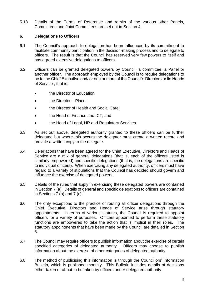5.13 Details of the Terms of Reference and remits of the various other Panels, Committees and Joint Committees are set out in Section 4.

#### **6. Delegations to Officers**

- 6.1 The Council's approach to delegation has been influenced by its commitment to facilitate community participation in the decision-making process and to delegate to officers. The result is that the Council has reserved very few powers to itself and has agreed extensive delegations to officers.
- 6.2 Officers can be granted delegated powers by Council, a committee, a Panel or another officer. The approach employed by the Council is to require delegations to be to the Chief Executive and/ or one or more of the Council's Directors or its Heads of Service , that is:
	- the Director of Education;
	- the Director Place;
	- the Director of Health and Social Care;
	- the Head of Finance and ICT; and
	- the Head of Legal, HR and Regulatory Services.
- 6.3 As set out above, delegated authority granted to these officers can be further delegated but where this occurs the delegator must create a written record and provide a written copy to the delegate.
- 6.4 Delegations that have been agreed for the Chief Executive, Directors and Heads of Service are a mix of general delegations (that is, each of the officers listed is similarly empowered) and specific delegations (that is, the delegations are specific to individual officers). When exercising any delegated authority, officers must have regard to a variety of stipulations that the Council has decided should govern and influence the exercise of delegated powers.
- 6.5 Details of the rules that apply in exercising these delegated powers are contained in Section 7 (a). Details of general and specific delegations to officers are contained in Sections 7 (b) and 7 (c).
- 6.6 The only exceptions to the practice of routing all officer delegations through the Chief Executive, Directors and Heads of Service arise through statutory appointments. In terms of various statutes, the Council is required to appoint officers for a variety of purposes. Officers appointed to perform these statutory functions are empowered to take the action that is implicit in their roles. The statutory appointments that have been made by the Council are detailed in Section 8.
- 6.7 The Council may require officers to publish information about the exercise of certain specified categories of delegated authority. Officers may choose to publish information about the exercise of other categories of delegated authority.
- 6.8 The method of publicising this information is through the Councillors' Information Bulletin, which is published monthly. This Bulletin includes details of decisions either taken or about to be taken by officers under delegated authority.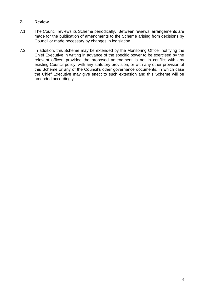#### **7. Review**

- 7.1 The Council reviews its Scheme periodically. Between reviews, arrangements are made for the publication of amendments to the Scheme arising from decisions by Council or made necessary by changes in legislation.
- 7.2 In addition, this Scheme may be extended by the Monitoring Officer notifying the Chief Executive in writing in advance of the specific power to be exercised by the relevant officer, provided the proposed amendment is not in conflict with any existing Council policy, with any statutory provision, or with any other provision of this Scheme or any of the Council's other governance documents, in which case the Chief Executive may give effect to such extension and this Scheme will be amended accordingly.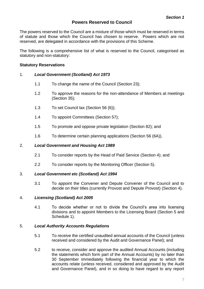## **Powers Reserved to Council**

<span id="page-9-0"></span>The powers reserved to the Council are a mixture of those which must be reserved in terms of statute and those which the Council has chosen to reserve. Powers which are not reserved, are delegated in accordance with the provisions of this Scheme.

The following is a comprehensive list of what is reserved to the Council, categorised as statutory and non-statutory:

#### **Statutory Reservations**

#### 1. *Local Government (Scotland) Act 1973*

- 1.1 To change the name of the Council (Section 23);
- 1.2 To approve the reasons for the non-attendance of Members at meetings (Section 35);
- 1.3 To set Council tax (Section 56 (6));
- 1.4 To appoint Committees (Section 57);
- 1.5 To promote and oppose private legislation (Section 82); and
- 1.6 To determine certain planning applications (Section 56 (6A)).

#### 2. *Local Government and Housing Act 1989*

- 2.1 To consider reports by the Head of Paid Service (Section 4); and
- 2.2 To consider reports by the Monitoring Officer (Section 5).

#### 3. *Local Government etc (Scotland) Act 1994*

3.1 To appoint the Convener and Depute Convener of the Council and to decide on their titles (currently Provost and Depute Provost) (Section 4).

#### 4. *Licensing (Scotland) Act 2005*

4.1 To decide whether or not to divide the Council's area into licensing divisions and to appoint Members to the Licensing Board (Section 5 and Schedule 1).

#### 5. *Local Authority Accounts Regulations*

- 5.1 To receive the certified unaudited annual accounts of the Council (unless received and considered by the Audit and Governance Panel); and
- 5.2 to receive, consider and approve the audited Annual Accounts (including the statements which form part of the Annual Accounts) by no later than 30 September immediately following the financial year to which the accounts relate (unless received, considered and approved by the Audit and Governance Panel), and in so doing to have regard to any report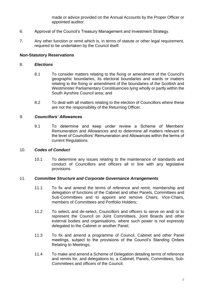made or advice provided on the Annual Accounts by the Proper Officer or appointed auditor.

- 6. Approval of the Council's Treasury Management and Investment Strategy.
- 7. Any other function or remit which is, in terms of statute or other legal requirement, required to be undertaken by the Council itself.

#### **Non-Statutory Reservations**

#### 8. *Elections*

- 8.1 To consider matters relating to the fixing or amendment of the Council's geographic boundaries, its electoral boundaries and wards or matters relating to the fixing or amendment of the boundaries of the Scottish and Westminster Parliamentary Constituencies lying wholly or partly within the South Ayrshire Council area; and
- 8.2 To deal with all matters relating to the election of Councillors where these are not the responsibility of the Returning Officer.

#### 9. *Councillors' Allowances*

9.1 To determine and keep under review a Scheme of Members' Remuneration and Allowances and to determine all matters relevant to the level of Councillors' Remuneration and Allowances within the terms of current Regulations.

#### 10. *Codes of Conduct*

10.1 To determine any issues relating to the maintenance of standards and conduct of Councillors and officers all in line with any legislative provisions.

#### 11. *Committee Structure and Corporate Governance Arrangements*

- 11.1 To fix and amend the terms of reference and remit, membership and delegation of functions of the Cabinet and other Panels, Committees and Sub-Committees and to appoint and remove Chairs, Vice-Chairs, members of Committees and Portfolio Holders;
- 11.2 To select, and de-select, Councillors and officers to serve on and/ or to represent the Council on Joint Committees, Joint Boards and other external bodies and organisations, where such power is not expressly delegated to the Cabinet or another Panel;
- 11.3 To fix and amend a programme of Council, Cabinet and other Panel meetings, subject to the provisions of the Council's Standing Orders Relating to Meetings;
- 11.4 To make and amend a Scheme of Delegation detailing terms of reference and remits for, and delegations to, a Cabinet, Panels, Committees, Sub-Committees and officers of the Council;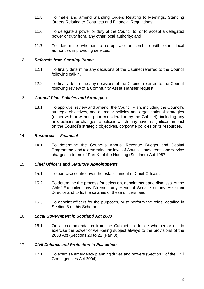- 11.5 To make and amend Standing Orders Relating to Meetings, Standing Orders Relating to Contracts and Financial Regulations;
- 11.6 To delegate a power or duty of the Council to, or to accept a delegated power or duty from, any other local authority; and
- 11.7 To determine whether to co-operate or combine with other local authorities in providing services.

#### 12. *Referrals from Scrutiny Panels*

- 12.1 To finally determine any decisions of the Cabinet referred to the Council following call-in.
- 12.2 To finally determine any decisions of the Cabinet referred to the Council following review of a Community Asset Transfer request.

#### 13. *Council Plan, Policies and Strategies*

13.1 To approve, review and amend, the Council Plan, including the Council's strategic objectives, and all major policies and organisational strategies (either with or without prior consideration by the Cabinet), including any new policies or changes to policies which may have a significant impact on the Council's strategic objectives, corporate policies or its resources.

#### 14. *Resources – Financial*

14.1 To determine the Council's Annual Revenue Budget and Capital Programme, and to determine the level of Council house rents and service charges in terms of Part XI of the Housing (Scotland) Act 1987.

#### 15. *Chief Officers and Statutory Appointments*

- 15.1 To exercise control over the establishment of Chief Officers;
- 15.2 To determine the process for selection, appointment and dismissal of the Chief Executive, any Director, any Head of Service or any Assistant Director and to fix the salaries of these officers; and
- 15.3 To appoint officers for the purposes, or to perform the roles, detailed in Section 8 of this Scheme.

#### 16. *Local Government in Scotland Act 2003*

16.1 On a recommendation from the Cabinet, to decide whether or not to exercise the power of well-being subject always to the provisions of the 2003 Act (Sections 20 to 22 (Part 3)).

#### 17. *Civil Defence and Protection in Peacetime*

17.1 To exercise emergency planning duties and powers (Section 2 of the Civil Contingencies Act 2004).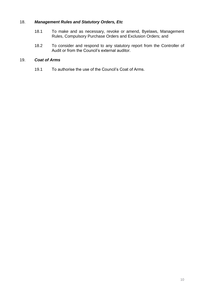#### 18. *Management Rules and Statutory Orders, Etc*

- 18.1 To make and as necessary, revoke or amend, Byelaws, Management Rules, Compulsory Purchase Orders and Exclusion Orders; and
- 18.2 To consider and respond to any statutory report from the Controller of Audit or from the Council's external auditor.

#### 19. *Coat of Arms*

19.1 To authorise the use of the Council's Coat of Arms.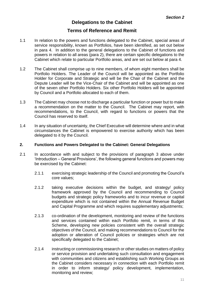# **Delegations to the Cabinet**

# **Terms of Reference and Remit**

- <span id="page-13-0"></span>1.1 In relation to the powers and functions delegated to the Cabinet, special areas of service responsibility, known as Portfolios, have been identified, as set out below in para 4. In addition to the general delegations to the Cabinet of functions and powers in relation to all areas (para 2), there are certain specific delegations to the Cabinet which relate to particular Portfolio areas, and are set out below at para 4.
- 1.2 The Cabinet shall comprise up to nine members, of whom eight members shall be Portfolio Holders. The Leader of the Council will be appointed as the Portfolio Holder for Corporate and Strategic and will be the Chair of the Cabinet and the Depute Leader will be the Vice-Chair of the Cabinet and will be appointed as one of the seven other Portfolio Holders. Six other Portfolio Holders will be appointed by Council and a Portfolio allocated to each of them.
- 1.3 The Cabinet may choose not to discharge a particular function or power but to make a recommendation on the matter to the Council. The Cabinet may report, with recommendations, to the Council, with regard to functions or powers that the Council has reserved to itself.
- 1.4 In any situation of uncertainty, the Chief Executive will determine where and in what circumstances the Cabinet is empowered to exercise authority which has been delegated to it by the Council.

#### **2. Functions and Powers Delegated to the Cabinet: General Delegations**

- 2.1 In accordance with and subject to the provisions of paragraph 3 above under 'Introduction – General Provisions', the following general functions and powers may be exercised by the Cabinet:
	- 2.1.1 exercising strategic leadership of the Council and promoting the Council's core values;
	- 2.1.2 taking executive decisions within the budget, and strategy/ policy framework approved by the Council and recommending to Council budgets and strategic policy frameworks and to incur revenue or capital expenditure which is not contained within the Annual Revenue Budget and Capital Programme and which requires supplementary adjustments;
	- 2.1.3 co-ordination of the development, monitoring and review of the functions and services contained within each Portfolio remit, in terms of this Scheme, developing new policies consistent with the overall strategic objectives of the Council, and making recommendations to Council for the adoption or alteration of Council policies or strategies which are not specifically delegated to the Cabinet;
	- 2.1.4 instructing or commissioning research or other studies on matters of policy or service provision and undertaking such consultation and engagement with communities and citizens and establishing such Working Groups as the Cabinet considers necessary in connection with each Portfolio remit in order to inform strategy/ policy development, implementation, monitoring and review;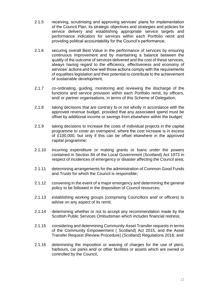- 2.1.5 receiving, scrutinising and approving services' plans for implementation of the Council Plan, its strategic objectives and strategies and policies for service delivery and establishing appropriate service targets and performance indicators for services within each Portfolio remit and providing political accountability for the Council's performance;
- 2.1.6 securing overall Best Value in the performance of services by ensuring continuous improvement and by maintaining a balance between the quality of the outcome of services delivered and the cost of these services, always having regard to the efficiency, effectiveness and economy of services' actions and how well those actions comply with the requirements of equalities legislation and their potential to contribute to the achievement of sustainable development;
- 2.1.7 co-ordinating, guiding, monitoring and reviewing the discharge of the functions and service provision within each Portfolio remit, by officers, and/ or partner organisations, in terms of this Scheme of Delegation;
- 2.1.8 taking decisions that are contrary to or not wholly in accordance with the approved revenue budget, provided that any associated spend must be offset by additional income or savings from elsewhere within the budget;
- 2.1.9 taking decisions to increase the costs of individual projects in the capital programme to cover an overspend, where the cost increase is in excess of £100,000, but only if this can be offset elsewhere in the approved capital programme;
- 2.1.10 incurring expenditure or making grants or loans under the powers contained in Section 84 of the Local Government (Scotland) Act 1973 in respect of incidences of emergency or disaster affecting the Council area;
- 2.1.11 determining arrangements for the administration of Common Good Funds and Trusts for which the Council is responsible;
- 2.1.12 convening in the event of a major emergency and determining the general policy to be followed in the disposition of Council resources;
- 2.1.13 establishing working groups (comprising Councillors and/ or officers) to advise on any aspect of its remit;
- 2.1.14 determining whether or not to accept any recommendation made by the Scottish Public Services Ombudsman which includes financial redress;
- 2.1.15 considering and determining Community Asset Transfer requests in terms of the Community Empowerment ( Scotland) Act 2015, and the Asset Transfer Request (Review Procedure) (Scotland) Regulations 2016; and
- 2.1.16 determining the imposition or waiving of charges for the use of piers, harbours, car parks and/ or other facilities or assets which are owned or controlled by the Council**.**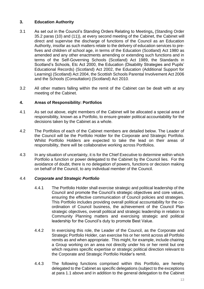## **3. Education Authority**

- 3.1 As set out in the Council's Standing Orders Relating to Meetings**,** (Standing Order 35.2 paras (10) and (11)), at every second meeting of the Cabinet, the Cabinet will direct and supervise the discharge of functions of the Council as an Education Authority, insofar as such matters relate to the delivery of education services to prefives and children of school age, in terms of the Education (Scotland) Act 1980 as amended and any other enactments amending or extending such functions and in terms of the Self-Governing Schools (Scotland) Act 1989, the Standards in Scotland's Schools, Etc Act 2000, the Education (Disability Strategies and Pupils' Educational Records) (Scotland) Act 2002, the Education (Additional Support for Learning) (Scotland) Act 2004, the Scottish Schools Parental Involvement Act 2006 and the Schools (Consultation) (Scotland) Act 2010.
- 3.2 All other matters falling within the remit of the Cabinet can be dealt with at any meeting of the Cabinet.

#### **4. Areas of Responsibility: Portfolios**

- 4.1 As set out above, eight members of the Cabinet will be allocated a special area of responsibility, known as a Portfolio, to ensure greater political accountability for the decisions taken by the Cabinet as a whole.
- 4.2 The Portfolios of each of the Cabinet members are detailed below. The Leader of the Council will be the Portfolio Holder for the Corporate and Strategic Portfolio. Whilst Portfolio Holders are expected to take the lead on their areas of responsibility, there will be collaborative working across Portfolios.
- 4.3 In any situation of uncertainty, it is for the Chief Executive to determine within which Portfolio a function or power delegated to the Cabinet by the Council lies. For the avoidance of doubt, there is no delegation of powers, functions or decision making on behalf of the Council, to any individual member of the Council.

#### 4.4 *Corporate and Strategic Portfolio*

- 4.4.1 The Portfolio Holder shall exercise strategic and political leadership of the Council and promote the Council's strategic objectives and core values, ensuring the effective communication of Council policies and strategies. This Portfolio includes providing overall political accountability for the coordination of Council business, the achievement of the Council Plan strategic objectives, overall political and strategic leadership in relation to Community Planning matters and exercising strategic and political leadership for the Council's duty to promote Best Value.
- 4.4.2 In exercising this role, the Leader of the Council, as the Corporate and Strategic Portfolio Holder, can exercise his or her remit across all Portfolio remits as and when appropriate. This might, for example, include chairing a Group working on an area not directly under his or her remit but one which requires specific expertise or strategic political direction relevant to the Corporate and Strategic Portfolio Holder's remit.
- 4.4.3 The following functions comprised within this Portfolio, are hereby delegated to the Cabinet as specific delegations (subject to the exceptions at para 1.1 above and in addition to the general delegation to the Cabinet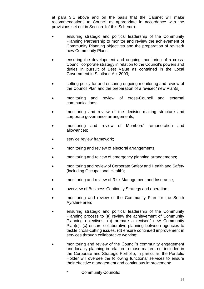at para 3.1 above and on the basis that the Cabinet will make recommendations to Council as appropriate in accordance with the provisions set out in Section 1of this Scheme):

- ensuring strategic and political leadership of the Community Planning Partnership to monitor and review the achievement of Community Planning objectives and the preparation of revised/ new Community Plans;
- ensuring the development and ongoing monitoring of a cross-Council corporate strategy in relation to the Council's powers and duties in pursuit of Best Value as contained in the Local Government in Scotland Act 2003;
- setting policy for and ensuring ongoing monitoring and review of the Council Plan and the preparation of a revised/ new Plan(s);
- monitoring and review of cross-Council and external communications;
- monitoring and review of the decision-making structure and corporate governance arrangements;
- monitoring and review of Members' remuneration and allowances;
- service review framework;
- monitoring and review of electoral arrangements;
- monitoring and review of emergency planning arrangements;
- monitoring and review of Corporate Safety and Health and Safety (including Occupational Health);
- monitoring and review of Risk Management and Insurance;
- overview of Business Continuity Strategy and operation;
- monitoring and review of the Community Plan for the South Ayrshire area;
- ensuring strategic and political leadership of the Community Planning process to (a) review the achievement of Community Planning objectives, (b) prepare a revised/ new Community Plan(s), (c) ensure collaborative planning between agencies to tackle cross-cutting issues, (d) ensure continued improvement in services through collaborative working;
- monitoring and review of the Council's community engagement and locality planning in relation to those matters not included in the Corporate and Strategic Portfolio, in particular, the Portfolio Holder will oversee the following functions/ services to ensure their effective management and continuous improvement:
	- \* Community Councils;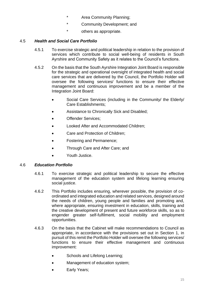- \* Area Community Planning;
- \* Community Development; and
- \* others as appropriate.

#### 4.5 *Health and Social Care Portfolio*

- 4.5.1 To exercise strategic and political leadership in relation to the provision of services which contribute to social well-being of residents in South Ayrshire and Community Safety as it relates to the Council's functions.
- 4.5.2 On the basis that the South Ayrshire Integration Joint Board is responsible for the strategic and operational oversight of integrated health and social care services that are delivered by the Council, the Portfolio Holder will oversee the following services/ functions to ensure their effective management and continuous improvement and be a member of the Integration Joint Board:
	- Social Care Services (including in the Community/ the Elderly/ Care Establishments;
	- Assistance to Chronically Sick and Disabled;
	- Offender Services;
	- Looked After and Accommodated Children;
	- Care and Protection of Children;
	- Fostering and Permanence;
	- Through Care and After Care; and
	- Youth Justice.

#### 4.6 *Education Portfolio*

- 4.6.1 To exercise strategic and political leadership to secure the effective management of the education system and lifelong learning ensuring social justice.
- 4.6.2 This Portfolio includes ensuring, wherever possible, the provision of coordinated and integrated education and related services, designed around the needs of children, young people and families and promoting and, where appropriate, ensuring investment in education, skills, training and the creative development of present and future workforce skills, so as to engender greater self-fulfilment, social mobility and employment opportunities.
- 4.6.3 On the basis that the Cabinet will make recommendations to Council as appropriate, in accordance with the provisions set out in Section 1, in pursuit of this remit the Portfolio Holder will oversee the following services/ functions to ensure their effective management and continuous improvement:
	- Schools and Lifelong Learning;
	- Management of education system;
	- Early Years;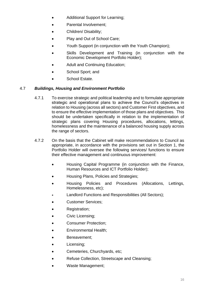- Additional Support for Learning;
- Parental Involvement:
- Children/ Disability;
- Play and Out of School Care;
- Youth Support (in conjunction with the Youth Champion);
- Skills Development and Training (in conjunction with the Economic Development Portfolio Holder);
- Adult and Continuing Education;
- School Sport; and
- School Estate.

#### 4.7 *Buildings, Housing and Environment Portfolio*

- 4.7.1 To exercise strategic and political leadership and to formulate appropriate strategic and operational plans to achieve the Council's objectives in relation to Housing (across all sectors) and Customer First objectives, and to ensure the effective implementation of those plans and objectives. This should be undertaken specifically in relation to the implementation of strategic plans covering Housing procedures, allocations, lettings, homelessness and the maintenance of a balanced housing supply across the range of sectors.
- 4.7.2 On the basis that the Cabinet will make recommendations to Council as appropriate, in accordance with the provisions set out in Section 1, the Portfolio Holder will oversee the following services/ functions to ensure their effective management and continuous improvement:
	- Housing Capital Programme (in conjunction with the Finance, Human Resources and ICT Portfolio Holder);
	- Housing Plans, Policies and Strategies;
	- Housing Policies and Procedures (Allocations, Lettings, Homelessness, etc);
	- Landlord Functions and Responsibilities (All Sectors);
	- Customer Services;
	- Registration;
	- Civic Licensing;
	- Consumer Protection;
	- Environmental Health;
	- Bereavement;
	- Licensing;
	- Cemeteries, Churchyards, etc;
	- Refuse Collection, Streetscape and Cleansing;
	- Waste Management;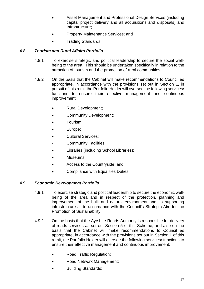- Asset Management and Professional Design Services (including capital project delivery and all acquisitions and disposals) and Infrastructure;
- Property Maintenance Services; and
- Trading Standards.

#### 4.8 *Tourism and Rural Affairs Portfolio*

- 4.8.1 To exercise strategic and political leadership to secure the social wellbeing of the area. This should be undertaken specifically in relation to the attraction of tourism and the promotion of rural communities**.**
- 4.8.2 On the basis that the Cabinet will make recommendations to Council as appropriate, in accordance with the provisions set out in Section 1, in pursuit of this remit the Portfolio Holder will oversee the following services/ functions to ensure their effective management and continuous improvement:
	- Rural Development;
	- Community Development;
	- Tourism;
	- Europe;
	- Cultural Services;
	- Community Facilities;
	- Libraries (including School Libraries);
	- Museums;
	- Access to the Countryside; and
	- Compliance with Equalities Duties.

#### 4.9 *Economic Development Portfolio*

- 4.9.1 To exercise strategic and political leadership to secure the economic wellbeing of the area and in respect of the protection, planning and improvement of the built and natural environment and its supporting infrastructure all in accordance with the Council's Strategic Aim for the Promotion of Sustainability.
- 4.9.2 On the basis that the Ayrshire Roads Authority is responsible for delivery of roads services as set out Section 5 of this Scheme, and also on the basis that the Cabinet will make recommendations to Council as appropriate, in accordance with the provisions set out in Section 1 of this remit, the Portfolio Holder will oversee the following services/ functions to ensure their effective management and continuous improvement:
	- Road Traffic Regulation;
	- Road Network Management;
	- Building Standards;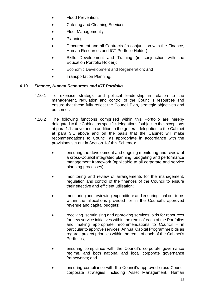- Flood Prevention;
- Catering and Cleaning Services;
- Fleet Management **;**
- Planning;
- Procurement and all Contracts (in conjunction with the Finance, Human Resources and ICT Portfolio Holder);
- Skills Development and Training (in conjunction with the Education Portfolio Holder);
- Economic Development and Regeneration; and
- Transportation Planning.

#### 4.10 *Finance, Human Resources and ICT Portfolio*

- 4.10.1 To exercise strategic and political leadership in relation to the management, regulation and control of the Council's resources and ensure that these fully reflect the Council Plan, strategic objectives and outcomes.
- 4.10.2 The following functions comprised within this Portfolio are hereby delegated to the Cabinet as specific delegations (subject to the exceptions at para 1.1 above and in addition to the general delegation to the Cabinet at para 3.1 above and on the basis that the Cabinet will make recommendations to Council as appropriate in accordance with the provisions set out in Section 1of this Scheme):
	- ensuring the development and ongoing monitoring and review of a cross-Council integrated planning, budgeting and performance management framework (applicable to all corporate and service planning processes);
	- monitoring and review of arrangements for the management, regulation and control of the finances of the Council to ensure their effective and efficient utilisation;
	- monitoring and reviewing expenditure and ensuring final out-turns within the allocations provided for in the Council's approved revenue and capital budgets;
	- receiving, scrutinising and approving services' bids for resources for new service initiatives within the remit of each of the Portfolios and making appropriate recommendations to Council – in particular to approve services' Annual Capital Programme bids as regards project priorities within the remit of each of the Cabinet's Portfolios;
	- ensuring compliance with the Council's corporate governance regime, and both national and local corporate governance frameworks; and
	- ensuring compliance with the Council's approved cross-Council corporate strategies including Asset Management, Human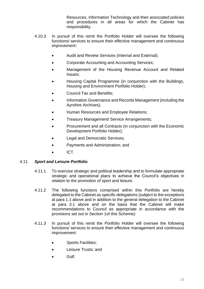Resources, Information Technology and their associated policies and procedures in all areas for which the Cabinet has responsibility.

- 4.10.3 In pursuit of this remit the Portfolio Holder will oversee the following functions/ services to ensure their effective management and continuous improvement:
	- Audit and Review Services (Internal and External);
	- Corporate Accounting and Accounting Services;
	- Management of the Housing Revenue Account and Related Issues;
	- Housing Capital Programme (in conjunction with the Buildings, Housing and Environment Portfolio Holder);
	- Council Tax and Benefits;
	- Information Governance and Records Management (including the Ayrshire Archives);
	- Human Resources and Employee Relations;
	- Treasury Management/ Service Arrangements;
	- Procurement and all Contracts (in conjunction with the Economic Development Portfolio Holder);
	- Legal and Democratic Services;
	- Payments and Administration; and
	- ICT.

#### 4.11 *Sport and Leisure Portfolio*

- 4.11.1 To exercise strategic and political leadership and to formulate appropriate strategic and operational plans to achieve the Council's objectives in relation to the promotion of sport and leisure.
- 4.11.2 The following functions comprised within this Portfolio are hereby delegated to the Cabinet as specific delegations (subject to the exceptions at para 1.1 above and in addition to the general delegation to the Cabinet at para 3.1 above and on the basis that the Cabinet will make recommendations to Council as appropriate in accordance with the provisions set out in Section 1of this Scheme):
- 4.11.3 In pursuit of this remit the Portfolio Holder will oversee the following functions/ services to ensure their effective management and continuous improvement:
	- Sports Facilities;
	- Leisure Trusts; and
	- Golf.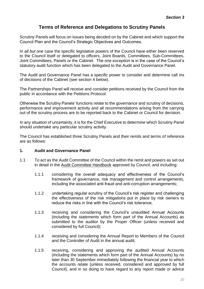# **Terms of Reference and Delegations to Scrutiny Panels**

<span id="page-22-0"></span>Scrutiny Panels will focus on issues being decided on by the Cabinet and which support the Council Plan and the Council's Strategic Objectives and Outcomes.

In *all but one case* the specific legislative powers of the Council have either been reserved to the Council itself or delegated to officers, Joint Boards, Committees, Sub-Committees, Joint Committees, Panels or the Cabinet. The *one exception* is in the case of the Council's statutory audit function which has been delegated to the Audit and Governance Panel.

The Audit and Governance Panel has a specific power to consider and determine call ins of decisions of the Cabinet (see section 4 below).

The Partnerships Panel will receive and consider petitions received by the Council from the public in accordance with the Petitions Protocol.

Otherwise the Scrutiny Panels' functions relate to the governance and scrutiny of decisions, performance and improvement activity and all recommendations arising from the carrying out of the scrutiny process are to be reported back to the Cabinet or Council for decision.

In any situation of uncertainty, it is for the Chief Executive to determine which Scrutiny Panel should undertake any particular scrutiny activity.

The Council has established three Scrutiny Panels and their remits and terms of reference are as follows:

#### **1. Audit and Governance Panel**

- 1.1 To act as the Audit Committee of the Council within the remit and powers as set out in detail in the [Audit Committee Handbook](http://ww20.south-ayrshire.gov.uk/corporateservices/LegalAdmin/CommitteeInformation/Audit%20Committee%20Handbook.pdf) approved by Council, and including:
	- 1.1.1 considering the overall adequacy and effectiveness of the Council's framework of governance, risk management and control arrangements, including the associated anti-fraud and anti-corruption arrangements;
	- 1.1.2 undertaking regular scrutiny of the Council's risk register and challenging the effectiveness of the risk mitigations put in place by risk owners to reduce the risks in line with the Council's risk tolerance;
	- 1.1.3 receiving and considering the Council's unaudited Annual Accounts (including the statements which form part of the Annual Accounts) as submitted to the auditor by the Proper Officer (unless received and considered by full Council);
	- 1.1.4 receiving and considering the Annual Report to Members of the Council and the Controller of Audit in the annual audit;
	- 1.1.5 receiving, considering and approving the audited Annual Accounts (including the statements which form part of the Annual Accounts) by no later than 30 September immediately following the financial year to which the accounts relate (unless received, considered and approved by full Council), and in so doing to have regard to any report made or advice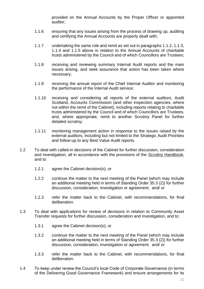provided on the Annual Accounts by the Proper Officer or appointed auditor;

- 1.1.6 ensuring that any issues arising from the process of drawing up, auditing and certifying the Annual Accounts are properly dealt with;
- 1.1.7 undertaking the same role and remit as set out in paragraphs 1.1.2, 1.1.3, 1.1.4 and 1.1.5 above in relation to the Annual Accounts of charitable trusts administered by the Council and of which Councillors are Trustees;
- 1.1.8 receiving and reviewing summary Internal Audit reports and the main issues arising, and seek assurance that action has been taken where necessary;
- 1.1.9 receiving the annual report of the Chief Internal Auditor and monitoring the performance of the Internal Audit service;
- 1.1.10 receiving and considering all reports of the external auditors, Audit Scotland, Accounts Commission (and other inspection agencies, where not within the remit of the Cabinet), including reports relating to charitable trusts administered by the Council and of which Councillors are Trustees, and, where appropriate, remit to another Scrutiny Panel for further detailed scrutiny;
- 1.1.11 monitoring management action in response to the issues raised by the external auditors, including but not limited to the Strategic Audit Priorities and follow-up to any Best Value Audit reports.
- 1.2 To deal with called-in decisions of the Cabinet for further discussion, consideration and investigation, all in accordance with the provisions of the [Scrutiny Handbook,](https://ww20.south-ayrshire.gov.uk/corporateservices/LegalAdmin/CommitteeInformation/Scrutiny%20Handbook.pdf) and to:
	- 1.2.1 agree the Cabinet decision(s); or
	- 1.2.2 continue the matter to the next meeting of the Panel (which may include an additional meeting held in terms of Standing Order 35.3 (2)) for further discussion, consideration, investigation or agreement; and/ or
	- 1.2.3 refer the matter back to the Cabinet, with recommendations, for final deliberation.
- 1.3 To deal with applications for review of decisions in relation to Community Asset Transfer requests for further discussion, consideration and investigation, and to:
	- 1.3.1 agree the Cabinet decision(s); or
	- 1.3.2 continue the matter to the next meeting of the Panel (which may include an additional meeting held in terms of Standing Order 35.3 (2)) for further discussion, consideration, investigation or agreement; and/ or
	- 1.3.3 refer the matter back to the Cabinet, with recommendations, for final deliberation.
- 1.4 To keep under review the Council's local Code of Corporate Governance (in terms of the Delivering Good Governance Framework) and ensure arrangements for its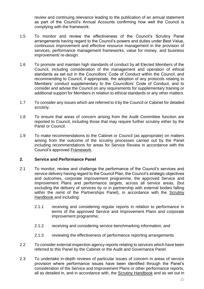review and continuing relevance leading to the publication of an annual statement as part of the Council's Annual Accounts confirming how well the Council is complying with the framework.

- 1.5 To monitor and review the effectiveness of the Council's Scrutiny Panel arrangements having regard to the Council's powers and duties under Best Value, continuous improvement and effective resource management in the provision of services, performance management frameworks, value for money, and business improvement/ re-design.
- 1.6 To promote and maintain high standards of conduct by all Elected Members of the Council, including consideration of the management and operation of ethical standards as set out in the Councillors' Code of Conduct within the Council, and recommending to Council, if appropriate, the adoption of any protocols relating to Members' conduct supplementary to the Councillors' Code of Conduct, and to consider and advise the Council on any requirements for supplementary training or additional support for Members in relation to ethical standards or any other matters.
- 1.7 To consider any issues which are referred to it by the Council or Cabinet for detailed scrutiny.
- 1.8 To ensure that areas of concern arising from the Audit Committee function are reported to Council, including those that may require further scrutiny either by the Panel or Council.
- 1.9 To make recommendations to the Cabinet or Council (as appropriate) on matters arising from the outcome of the scrutiny processes carried out by the Panel including recommendations for areas for Service Review in accordance with the Council's approved [Framework.](https://ww20.south-ayrshire.gov.uk/ext/committee/CommitteePapers2014/Leadership%20Panel/17th%20June/17%20June%2014%20Item%205(1)(d)%20Appendix.pdf)

#### **2. Service and Performance Panel**

- 2.1 To monitor, review and challenge the performance of the Council's services and service delivery having regard to the Council Plan, the Council's strategic objectives and outcomes, corporate improvement programme, the approved Service and Improvement Plans and performance targets, across all service areas, (but excluding the delivery of services by or in partnership with external bodies falling within the remit of the Partnerships Panel), in accordance with the [Scrutiny](https://ww20.south-ayrshire.gov.uk/corporateservices/LegalAdmin/CommitteeInformation/Scrutiny%20Handbook.pdf)  [Handbook](https://ww20.south-ayrshire.gov.uk/corporateservices/LegalAdmin/CommitteeInformation/Scrutiny%20Handbook.pdf) and including:
	- 2.1.1 receiving and considering regular reports in relation to performance in terms of the approved Service and Improvement Plans and corporate improvement programme;
	- 2.1.2 receiving and considering service benchmarking information; and
	- 2.1.3 reviewing the effectiveness of performance reporting arrangements.
- 2.2 To consider external inspection agency reports relating to services which have been referred to this Panel by the Cabinet or the Audit and Governance Panel.
- 2.3 To undertake in-depth reviews of particular issues of concern in areas of service provision where performance issues have been identified through the Panel's consideration of the Service and Improvement Plans or other performance reports, all as detailed in, and in accordance with, the [Scrutiny Handbook](https://ww20.south-ayrshire.gov.uk/corporateservices/LegalAdmin/CommitteeInformation/Scrutiny%20Handbook.pdf) and as set out in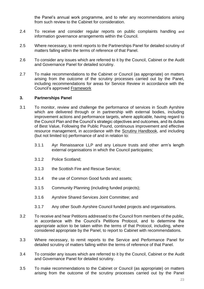the Panel's annual work programme, and to refer any recommendations arising from such review to the Cabinet for consideration.

- 2.4 To receive and consider regular reports on public complaints handling and information governance arrangements within the Council.
- 2.5 Where necessary, to remit reports to the Partnerships Panel for detailed scrutiny of matters falling within the terms of reference of that Panel.
- 2.6 To consider any issues which are referred to it by the Council, Cabinet or the Audit and Governance Panel for detailed scrutiny.
- 2.7 To make recommendations to the Cabinet or Council (as appropriate) on matters arising from the outcome of the scrutiny processes carried out by the Panel, including recommendations for areas for Service Review in accordance with the Council's approved [Framework](https://ww20.south-ayrshire.gov.uk/ext/committee/CommitteePapers2014/Leadership%20Panel/17th%20June/17%20June%2014%20Item%205(1)(d)%20Appendix.pdf)

#### **3. Partnerships Panel**

- 3.1 To monitor, review and challenge the performance of services in South Ayrshire which are delivered through or in partnership with external bodies, including improvement actions and performance targets, where applicable, having regard to the Council Plan and the Council's strategic objectives and outcomes, and its duties of Best Value, Following the Public Pound, continuous improvement and effective resource management, in accordance with the [Scrutiny Handbook,](https://ww20.south-ayrshire.gov.uk/corporateservices/LegalAdmin/CommitteeInformation/Scrutiny%20Handbook.pdf) and including (but not limited to) performance of and in relation to:
	- 3.1.1 Ayr Renaissance LLP and any Leisure trusts and other arm's length external organisations in which the Council participates;
	- 3.1.2 Police Scotland;
	- 3.1.3 the Scottish Fire and Rescue Service;
	- 3.1.4 the use of Common Good funds and assets;
	- 3.1.5 Community Planning (including funded projects);
	- 3.1.6 Ayrshire Shared Services Joint Committee; and
	- 3.1.7 Any other South Ayrshire Council funded projects and organisations.
- 3.2 To receive and hear Petitions addressed to the Council from members of the public, in accordance with the Council's Petitions Protocol, and to determine the appropriate action to be taken within the terms of that Protocol, including, where considered appropriate by the Panel, to report to Cabinet with recommendations.
- 3.3 Where necessary, to remit reports to the Service and Performance Panel for detailed scrutiny of matters falling within the terms of reference of that Panel.
- 3.4 To consider any issues which are referred to it by the Council, Cabinet or the Audit and Governance Panel for detailed scrutiny.
- 3.5 To make recommendations to the Cabinet or Council (as appropriate) on matters arising from the outcome of the scrutiny processes carried out by the Panel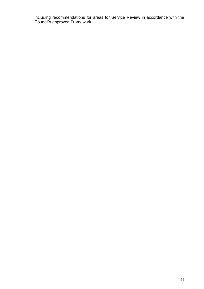including recommendations for areas for Service Review in accordance with the Council's approved **Framework**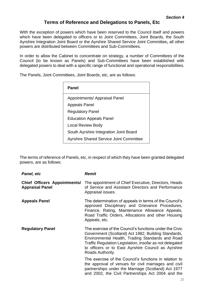# **Terms of Reference and Delegations to Panels, Etc**

<span id="page-27-0"></span>With the exception of powers which have been reserved to the Council itself and powers which have been delegated to officers or to Joint Committees, Joint Boards, the South Ayrshire Integration Joint Board or the Ayrshire Shared Service Joint Committee**,** all other powers are distributed between Committees and Sub-Committees.

In order to allow the Cabinet to concentrate on strategy, a number of Committees of the Council (to be known as Panels) and Sub-Committees have been established with delegated powers to deal with a specific range of functional and operational responsibilities.

The Panels, Joint Committees, Joint Boards, etc, are as follows:

| Panel                                          |  |  |
|------------------------------------------------|--|--|
| Appointments/ Appraisal Panel                  |  |  |
| <b>Appeals Panel</b>                           |  |  |
| <b>Regulatory Panel</b>                        |  |  |
| <b>Education Appeals Panel</b>                 |  |  |
| Local Review Body                              |  |  |
| South Ayrshire Integration Joint Board         |  |  |
| <b>Ayrshire Shared Service Joint Committee</b> |  |  |

The terms of reference of Panels, etc, in respect of which they have been granted delegated powers, are as follows:

| Panel, etc                                                    | Remit                                                                                                                                                                                                                                                                                                     |
|---------------------------------------------------------------|-----------------------------------------------------------------------------------------------------------------------------------------------------------------------------------------------------------------------------------------------------------------------------------------------------------|
| <b>Chief Officers Appointments/</b><br><b>Appraisal Panel</b> | The appointment of Chief Executive, Directors, Heads<br>of Service and Assistant Directors and Performance<br>Appraisal issues.                                                                                                                                                                           |
| <b>Appeals Panel</b>                                          | The determination of appeals in terms of the Council's<br>approved Disciplinary and Grievance Procedures,<br>Finance, Rating, Maintenance Allowance Appeals,<br>Road Traffic Orders, Allocations and other Housing<br>Appeals, etc.                                                                       |
| <b>Regulatory Panel</b>                                       | The exercise of the Council's functions under the Civic<br>Government (Scotland) Act 1982, Building Standards,<br>Environmental Health, Trading Standards and Road<br>Traffic Regulation Legislation, insofar as not delegated<br>to officers or to East Ayrshire Council as Ayrshire<br>Roads Authority. |
|                                                               | The exercise of the Council's functions in relation to<br>the approval of venues for civil marriages and civil<br>partnerships under the Marriage (Scotland) Act 1977<br>and 2002, the Civil Partnerships Act 2004 and the                                                                                |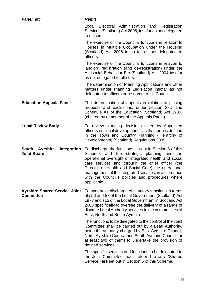| Panel, etc                                               | <b>Remit</b>                                                                                                                                                                                                                                                                                                                                                                                         |  |
|----------------------------------------------------------|------------------------------------------------------------------------------------------------------------------------------------------------------------------------------------------------------------------------------------------------------------------------------------------------------------------------------------------------------------------------------------------------------|--|
|                                                          | Local Electoral Administration and Registration<br>Services (Scotland) Act 2006, insofar as not delegated<br>to officers.                                                                                                                                                                                                                                                                            |  |
|                                                          | The exercise of the Council's functions in relation to<br>Houses in Multiple Occupation under the Housing<br>(Scotland) Act 2006 in so far as not delegated to<br>officers.                                                                                                                                                                                                                          |  |
|                                                          | The exercise of the Council's functions in relation to<br>landlord registration (and de-registration) under the<br>Antisocial Behaviour Etc (Scotland) Act 2004 insofar<br>as not delegated to officers.                                                                                                                                                                                             |  |
|                                                          | The determination of Planning Applications and other<br>matters under Planning Legislation insofar as not<br>delegated to officers or reserved to full Council.                                                                                                                                                                                                                                      |  |
| <b>Education Appeals Panel</b>                           | The determination of appeals in relation to placing<br>requests and exclusions, under section 28D and<br>Schedule A1 of the Education (Scotland) Act 1980,<br>(chaired by a member of the Appeals Panel).                                                                                                                                                                                            |  |
| <b>Local Review Body</b>                                 | To review planning decisions taken by Appointed<br>officers on 'local developments' as that term is defined<br>in the Town and Country Planning (Hierarchy of<br>Developments) (Scotland) Regulations 2009.                                                                                                                                                                                          |  |
| South Ayrshire<br>Integration<br><b>Joint Board</b>      | To discharge the functions set out in Section 6 of this<br>Scheme, and the strategic planning and the<br>operational oversight of integrated health and social<br>care services and through the chief officer (the<br>Director of Health and Social Care) the operational<br>management of the integrated services, in accordance<br>with the Council's policies and procedures where<br>applicable. |  |
| <b>Ayrshire Shared Service Joint</b><br><b>Committee</b> | To undertake discharge of statutory functions in terms<br>of s56 and 57 of the Local Government (Scotland) Act<br>1973 and s15 of the Local Government in Scotland Act<br>2003 specifically to oversee the delivery of a range of<br>discrete Local Authority services to the communities of<br>East, North and South Ayrshire.                                                                      |  |
|                                                          | The functions to be delegated to the control of the Joint<br>Committee shall be carried out by a Lead Authority,<br>being the authority charged by East Ayrshire Council,<br>North Ayrshire Council and South Ayrshire Council (or<br>at least two of them) to undertake the provision of<br>defined services.                                                                                       |  |
|                                                          | The specific services and functions to be delegated to<br>the Joint Committee (each referred to as a 'Shared<br>Service') are set out in Section 5 of this Scheme.                                                                                                                                                                                                                                   |  |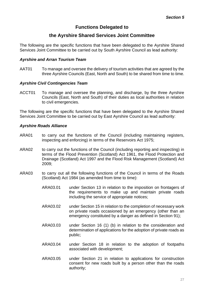# **Functions Delegated to**

# **the Ayrshire Shared Services Joint Committee**

<span id="page-29-0"></span>The following are the specific functions that have been delegated to the Ayrshire Shared Services Joint Committee to be carried out by South Ayrshire Council as lead authority:

#### *Ayrshire and Arran Tourism Team*

AAT01 To manage and oversee the delivery of tourism activities that are agreed by the three Ayrshire Councils (East, North and South) to be shared from time to time.

#### *Ayrshire Civil Contingencies Team*

ACCT01 To manage and oversee the planning, and discharge, by the three Ayrshire Councils (East, North and South) of their duties as local authorities in relation to civil emergencies.

The following are the specific functions that have been delegated to the Ayrshire Shared Services Joint Committee to be carried out by East Ayrshire Council as lead authority:

#### *Ayrshire Roads Alliance*

- ARA01 to carry out the functions of the Council (including maintaining registers, inspecting and enforcing) in terms of the Reservoirs Act 1975;
- ARA02 to carry out the functions of the Council (including reporting and inspecting) in terms of the Flood Prevention (Scotland) Act 1961, the Flood Protection and Drainage (Scotland) Act 1997 and the Flood Risk Management (Scotland) Act 2009;
- ARA03 to carry out all the following functions of the Council in terms of the Roads (Scotland) Act 1984 (as amended from time to time):
	- ARA03.01 under Section 13 in relation to the imposition on frontagers of the requirements to make up and maintain private roads including the service of appropriate notices;
	- ARA03.02 under Section 15 in relation to the completion of necessary work on private roads occasioned by an emergency (other than an emergency constituted by a danger as defined in Section 91);
	- ARA03.03 under Section 16 (1) (b) in relation to the consideration and determination of applications for the adoption of private roads as public;
	- ARA03.04 under Section 18 in relation to the adoption of footpaths associated with development;
	- ARA03.05 under Section 21 in relation to applications for construction consent for new roads built by a person other than the roads authority;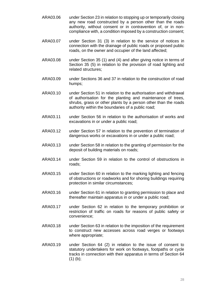- ARA03.06 under Section 23 in relation to stopping up or temporarily closing any new road constructed by a person other than the roads authority, without consent or in contravention of, or in noncompliance with, a condition imposed by a construction consent;
- ARA03.07 under Section 31 (3) in relation to the service of notices in connection with the drainage of public roads or proposed public roads, on the owner and occupier of the land affected;
- ARA03.08 under Section 35 (1) and (4) and after giving notice in terms of Section 35 (5) in relation to the provision of road lighting and related structures;
- ARA03.09 under Sections 36 and 37 in relation to the construction of road humps;
- ARA03.10 under Section 51 in relation to the authorisation and withdrawal of authorisation for the planting and maintenance of trees, shrubs, grass or other plants by a person other than the roads authority within the boundaries of a public road;
- ARA03.11 under Section 56 in relation to the authorisation of works and excavations in or under a public road;
- ARA03.12 under Section 57 in relation to the prevention of termination of dangerous works or excavations in or under a public road;
- ARA03.13 under Section 58 in relation to the granting of permission for the deposit of building materials on roads;
- ARA03.14 under Section 59 in relation to the control of obstructions in roads;
- ARA03.15 under Section 60 in relation to the marking lighting and fencing of obstructions or roadworks and for shoring buildings requiring protection in similar circumstances;
- ARA03.16 under Section 61 in relation to granting permission to place and thereafter maintain apparatus in or under a public road;
- ARA03.17 under Section 62 in relation to the temporary prohibition or restriction of traffic on roads for reasons of public safety or convenience;
- ARA03.18 under Section 63 in relation to the imposition of the requirement to construct new accesses across road verges or footways where appropriate;
- ARA03.19 under Section 64 (2) in relation to the issue of consent to statutory undertakers for work on footways, footpaths or cycle tracks in connection with their apparatus in terms of Section 64  $(1)$  (b);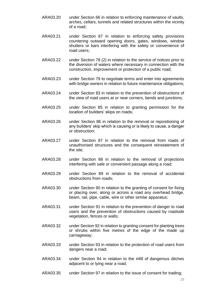- ARA03.20 under Section 66 in relation to enforcing maintenance of vaults, arches, cellars, tunnels and related structures within the vicinity of a road;
- ARA03.21 under Section 67 in relation to enforcing safety provisions countering outward opening doors, gates, windows, window shutters or bars interfering with the safety or convenience of road users;
- ARA03.22 under Section 78 (2) in relation to the service of notices prior to the diversion of waters where necessary in connection with the construction, improvement or protection of a public road;
- ARA03.23 under Section 79 to negotiate terms and enter into agreements with bridge owners in relation to future maintenance obligations;
- ARA03.24 under Section 83 in relation to the prevention of obstructions of the view of road users at or near corners, bends and junctions;
- ARA03.25 under Section 85 in relation to granting permission for the location of builders' skips on roads;
- ARA03.26 under Section 86 in relation to the removal or repositioning of any builders' skip which is causing or is likely to cause, a danger or obstruction;
- ARA03.27 under Section 87 in relation to the removal from roads of unauthorised structures and the consequent reinstatement of the site;
- ARA03.28 under Section 88 in relation to the removal of projections interfering with safe or convenient passage along a road;
- ARA03.29 under Section 89 in relation to the removal of accidental obstructions from roads;
- ARA03.30 under Section 90 in relation to the granting of consent for fixing or placing over, along or across a road any overhead bridge, beam, rail, pipe, cable, wire or other similar apparatus;
- ARA03.31 under Section 91 in relation to the prevention of danger to road users and the prevention of obstructions caused by roadside vegetation, fences or walls;
- ARA03.32 under Section 92 in relation to granting consent for planting trees or shrubs within five metres of the edge of the made up carriageway;
- ARA03.33 under Section 93 in relation to the protection of road users from dangers near a road;
- ARA03.34 under Section 94 in relation to the infill of dangerous ditches adjacent to or lying near a road;
- ARA03.35 under Section 97 in relation to the issue of consent for trading;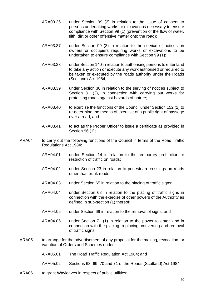- ARA03.36 under Section 99 (2) in relation to the issue of consent to persons undertaking works or excavations necessary to ensure compliance with Section 99 (1) (prevention of the flow of water, filth, dirt or other offensive matter onto the road);
- ARA03.37 under Section 99 (3) in relation to the service of notices on owners or occupiers requiring works or excavations to be undertaken to ensure compliance with Section 99 (1);
- ARA03.38 under Section 140 in relation to authorising persons to enter land to take any action or execute any work authorised or required to be taken or executed by the roads authority under the Roads (Scotland) Act 1984;
- ARA03.39 under Section 30 in relation to the serving of notices subject to Section 31 (3), in connection with carrying out works for protecting roads against hazards of nature;
- ARA03.40 to exercise the functions of the Council under Section 152 (2) to re-determine the means of exercise of a public right of passage over a road; and
- ARA03.41 to act as the Proper Officer to issue a certificate as provided in Section 96 (1);
- ARA04 to carry out the following functions of the Council in terms of the Road Traffic Regulations Act 1984:
	- ARA04.01 under Section 14 in relation to the temporary prohibition or restriction of traffic on roads;
	- ARA04.02 under Section 23 in relation to pedestrian crossings on roads other than trunk roads;
	- ARA04.03 under Section 65 in relation to the placing of traffic signs;
	- ARA04.04 under Section 68 in relation to the placing of traffic signs in connection with the exercise of other powers of the Authority as defined in sub-section (1) thereof;
	- ARA04.05 under Section 69 in relation to the removal of signs; and
	- ARA04.06 under Section 71 (1) in relation to the power to enter land in connection with the placing, replacing, converting and removal of traffic signs;
- ARA05 to arrange for the advertisement of any proposal for the making, revocation, or variation of Orders and Schemes under:
	- ARA05.01 The Road Traffic Regulation Act 1984; and
	- ARA05.02 Sections 68, 69, 70 and 71 of the Roads (Scotland) Act 1984;
- ARA06 to grant Wayleaves in respect of public utilities;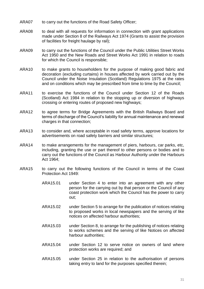- ARA07 to carry out the functions of the Road Safety Officer;
- ARA08 to deal with all requests for information in connection with grant applications made under Section 8 of the Railways Act 1974 (Grants to assist the provision of facilities for freight haulage by rail);
- ARA09 to carry out the functions of the Council under the Public Utilities Street Works Act 1950 and the New Roads and Street Works Act 1991 in relation to roads for which the Council is responsible;
- ARA10 to make grants to householders for the purpose of making good fabric and decoration (excluding curtains) in houses affected by work carried out by the Council under the Noise Insulation (Scotland) Regulations 1975 at the rates and on conditions which may be prescribed from time to time by the Council;
- ARA11 to exercise the functions of the Council under Section 12 of the Roads (Scotland) Act 1984 in relation to the stopping up or diversion of highways crossing or entering routes of proposed new highways;
- ARA12 to agree terms for Bridge Agreements with the British Railways Board and terms of discharge of the Council's liability for annual maintenance and renewal charges in that connection;
- ARA13 to consider and, where acceptable in road safety terms, approve locations for advertisements on road safety barriers and similar structures;
- ARA14 to make arrangements for the management of piers, harbours, car parks, etc, including, granting the use or part thereof to other persons or bodies and to carry out the functions of the Council as Harbour Authority under the Harbours Act 1964;
- ARA15 to carry out the following functions of the Council in terms of the Coast Protection Act 1949:
	- ARA15.01 under Section 4 to enter into an agreement with any other person for the carrying out by that person or the Council of any coast protection work which the Council has the power to carry out;
	- ARA15.02 under Section 5 to arrange for the publication of notices relating to proposed works in local newspapers and the serving of like notices on affected harbour authorities;
	- ARA15.03 under Section 8, to arrange for the publishing of notices relating to works schemes and the serving of like Notices on affected harbour authorities;
	- ARA15.04 under Section 12 to serve notice on owners of land where protection works are required; and
	- ARA15.05 under Section 25 in relation to the authorisation of persons taking entry to land for the purposes specified therein;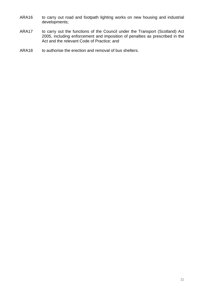- ARA16 to carry out road and footpath lighting works on new housing and industrial developments;
- ARA17 to carry out the functions of the Council under the Transport (Scotland) Act 2005, including enforcement and imposition of penalties as prescribed in the Act and the relevant Code of Practice; and
- ARA18 to authorise the erection and removal of bus shelters.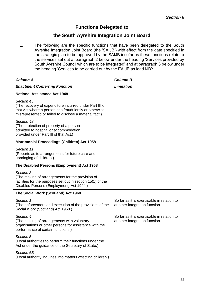# **Functions Delegated to**

# **the South Ayrshire Integration Joint Board**

<span id="page-35-0"></span>1. The following are the specific functions that have been delegated to the South Ayrshire Integration Joint Board (the 'SAIJB') with effect from the date specified in the strategic plan to be approved by the SAIJB insofar as these functions relate to the services set out at paragraph 2 below under the heading 'Services provided by South Ayrshire Council which are to be integrated' and at paragraph 3 below under the heading 'Services to be carried out by the EAIJB as lead IJB':

| <b>Column A</b>                                                                                                                                                                          | <b>Column B</b>                                                             |
|------------------------------------------------------------------------------------------------------------------------------------------------------------------------------------------|-----------------------------------------------------------------------------|
| <b>Enactment Conferring Function</b>                                                                                                                                                     | <b>Limitation</b>                                                           |
| <b>National Assistance Act 1948</b>                                                                                                                                                      |                                                                             |
| Section 45<br>(The recovery of expenditure incurred under Part III of<br>that Act where a person has fraudulently or otherwise<br>misrepresented or failed to disclose a material fact.) |                                                                             |
| Section 48<br>(The protection of property of a person<br>admitted to hospital or accommodation<br>provided under Part III of that Act.)                                                  |                                                                             |
| <b>Matrimonial Proceedings (Children) Act 1958</b>                                                                                                                                       |                                                                             |
| Section 11<br>(Reports as to arrangements for future care and<br>upbringing of children.)                                                                                                |                                                                             |
| The Disabled Persons (Employment) Act 1958                                                                                                                                               |                                                                             |
| Section 3<br>(The making of arrangements for the provision of<br>facilities for the purposes set out in section 15(1) of the<br>Disabled Persons (Employment) Act 1944.)                 |                                                                             |
| The Social Work (Scotland) Act 1968                                                                                                                                                      |                                                                             |
| Section 1<br>(The enforcement and execution of the provisions of the<br>Social Work (Scotland) Act 1968.)                                                                                | So far as it is exercisable in relation to<br>another integration function. |
| Section 4<br>(The making of arrangements with voluntary<br>organisations or other persons for assistance with the<br>performance of certain functions.)                                  | So far as it is exercisable in relation to<br>another integration function. |
| Section 5<br>(Local authorities to perform their functions under the<br>Act under the guidance of the Secretary of State.)                                                               |                                                                             |
| Section 6B<br>(Local authority inquiries into matters affecting children.)                                                                                                               |                                                                             |
|                                                                                                                                                                                          |                                                                             |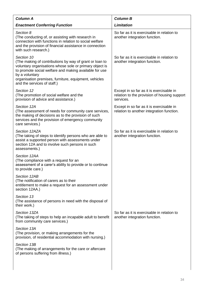| <b>Column A</b>                                                                                                                                                                                                                                                                                      | <b>Column B</b>                                                                                       |  |
|------------------------------------------------------------------------------------------------------------------------------------------------------------------------------------------------------------------------------------------------------------------------------------------------------|-------------------------------------------------------------------------------------------------------|--|
| <b>Enactment Conferring Function</b>                                                                                                                                                                                                                                                                 | <b>Limitation</b>                                                                                     |  |
| Section 8<br>(The conducting of, or assisting with research in<br>connection with functions in relation to social welfare<br>and the provision of financial assistance in connection<br>with such research.)                                                                                         | So far as it is exercisable in relation to<br>another integration function.                           |  |
| Section 10<br>(The making of contributions by way of grant or loan to<br>voluntary organisations whose sole or primary object is<br>to promote social welfare and making available for use<br>by a voluntary<br>organisation premises, furniture, equipment, vehicles<br>and the services of staff.) | So far as it is exercisable in relation to<br>another integration function.                           |  |
| Section 12<br>(The promotion of social welfare and the<br>provision of advice and assistance.)                                                                                                                                                                                                       | Except in so far as it is exercisable in<br>relation to the provision of housing support<br>services. |  |
| Section 12A<br>(The assessment of needs for community care services,<br>the making of decisions as to the provision of such<br>services and the provision of emergency community<br>care services.)                                                                                                  | Except in so far as it is exercisable in<br>relation to another integration function.                 |  |
| Section 12AZA<br>(The taking of steps to identify persons who are able to<br>assist a supported person with assessments under<br>section 12A and to involve such persons in such<br>assessments.)                                                                                                    | So far as it is exercisable in relation to<br>another integration function.                           |  |
| Section 12AA<br>(The compliance with a request for an<br>assessment of a carer's ability to provide or to continue<br>to provide care.)                                                                                                                                                              |                                                                                                       |  |
| Section 12AB<br>(The notification of carers as to their<br>entitlement to make a request for an assessment under<br>section 12AA.)                                                                                                                                                                   |                                                                                                       |  |
| Section 13<br>(The assistance of persons in need with the disposal of<br>their work.)                                                                                                                                                                                                                |                                                                                                       |  |
| Section 13ZA<br>(The taking of steps to help an incapable adult to benefit<br>from community care services.)                                                                                                                                                                                         | So far as it is exercisable in relation to<br>another integration function.                           |  |
| Section 13A<br>(The provision, or making arrangements for the<br>provision, of residential accommodation with nursing.)                                                                                                                                                                              |                                                                                                       |  |
| Section 13B<br>(The making of arrangements for the care or aftercare<br>of persons suffering from illness.)                                                                                                                                                                                          |                                                                                                       |  |
|                                                                                                                                                                                                                                                                                                      |                                                                                                       |  |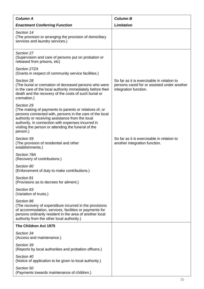| <b>Column A</b>                                                                                                                                                                                                                                                                                               | <b>Column B</b>                                                                                                    |
|---------------------------------------------------------------------------------------------------------------------------------------------------------------------------------------------------------------------------------------------------------------------------------------------------------------|--------------------------------------------------------------------------------------------------------------------|
| <b>Enactment Conferring Function</b>                                                                                                                                                                                                                                                                          | <b>Limitation</b>                                                                                                  |
| Section 14<br>(The provision or arranging the provision of domiciliary<br>services and laundry services.)                                                                                                                                                                                                     |                                                                                                                    |
| Section 27<br>(Supervision and care of persons put on probation or<br>released from prisons, etc)                                                                                                                                                                                                             |                                                                                                                    |
| Section 27ZA<br>(Grants in respect of community service facilities.)                                                                                                                                                                                                                                          |                                                                                                                    |
| Section 28<br>(The burial or cremation of deceased persons who were<br>in the care of the local authority immediately before their<br>death and the recovery of the costs of such burial or<br>cremation.)                                                                                                    | So far as it is exercisable in relation to<br>persons cared for or assisted under another<br>integration function. |
| Section 29<br>(The making of payments to parents or relatives of, or<br>persons connected with, persons in the care of the local<br>authority or receiving assistance from the local<br>authority, in connection with expenses incurred in<br>visiting the person or attending the funeral of the<br>person.) |                                                                                                                    |
| Section 59<br>(The provision of residential and other<br>establishments.)                                                                                                                                                                                                                                     | So far as it is exercisable in relation to<br>another integration function.                                        |
| Section 78A<br>(Recovery of contributions.)                                                                                                                                                                                                                                                                   |                                                                                                                    |
| Section 80<br>(Enforcement of duty to make contributions.)                                                                                                                                                                                                                                                    |                                                                                                                    |
| Section 81<br>(Provisions as to decrees for ailment.)                                                                                                                                                                                                                                                         |                                                                                                                    |
| Section 83<br>(Variation of trusts.)                                                                                                                                                                                                                                                                          |                                                                                                                    |
| Section 86<br>(The recovery of expenditure incurred in the provisions<br>of accommodation, services, facilities or payments for<br>persons ordinarily resident in the area of another local<br>authority from the other local authority.)                                                                     |                                                                                                                    |
| The Children Act 1975                                                                                                                                                                                                                                                                                         |                                                                                                                    |
| Section 34<br>(Access and maintenance.)                                                                                                                                                                                                                                                                       |                                                                                                                    |
| Section 39<br>(Reports by local authorities and probation officers.)                                                                                                                                                                                                                                          |                                                                                                                    |
| Section 40<br>(Notice of application to be given to local authority.)                                                                                                                                                                                                                                         |                                                                                                                    |
| Section 50<br>(Payments towards maintenance of children.)                                                                                                                                                                                                                                                     |                                                                                                                    |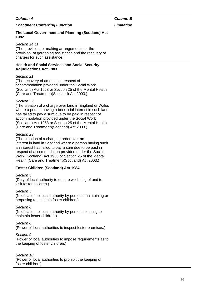| <b>Column A</b>                                                                                                                                                                                                                                                                                                                                   | <b>Column B</b>   |
|---------------------------------------------------------------------------------------------------------------------------------------------------------------------------------------------------------------------------------------------------------------------------------------------------------------------------------------------------|-------------------|
| <b>Enactment Conferring Function</b>                                                                                                                                                                                                                                                                                                              | <b>Limitation</b> |
| The Local Government and Planning (Scotland) Act<br>1982                                                                                                                                                                                                                                                                                          |                   |
| Section 24(1)<br>(The provision, or making arrangements for the<br>provision, of gardening assistance and the recovery of<br>charges for such assistance.)                                                                                                                                                                                        |                   |
| <b>Health and Social Services and Social Security</b><br><b>Adjudications Act 1983</b>                                                                                                                                                                                                                                                            |                   |
| Section 21<br>(The recovery of amounts in respect of<br>accommodation provided under the Social Work<br>(Scotland) Act 1968 or Section 25 of the Mental Health<br>(Care and Treatment) (Scotland) Act 2003.)                                                                                                                                      |                   |
| Section 22<br>(The creation of a charge over land in England or Wales<br>where a person having a beneficial interest in such land<br>has failed to pay a sum due to be paid in respect of<br>accommodation provided under the Social Work<br>(Scotland) Act 1968 or Section 25 of the Mental Health<br>(Care and Treatment) (Scotland) Act 2003.) |                   |
| Section 23<br>(The creation of a charging order over an<br>interest in land in Scotland where a person having such<br>an interest has failed to pay a sum due to be paid in<br>respect of accommodation provided under the Social<br>Work (Scotland) Act 1968 or Section 25 of the Mental<br>Health (Care and Treatment) (Scotland) Act 2003.)    |                   |
| Foster Children (Scotland) Act 1984                                                                                                                                                                                                                                                                                                               |                   |
| Section 3<br>(Duty of local authority to ensure wellbeing of and to<br>visit foster children.)                                                                                                                                                                                                                                                    |                   |
| Section 5<br>(Notification to local authority by persons maintaining or<br>proposing to maintain foster children.)                                                                                                                                                                                                                                |                   |
| Section 6<br>(Notification to local authority by persons ceasing to<br>maintain foster children.)                                                                                                                                                                                                                                                 |                   |
| Section 8<br>(Power of local authorities to inspect foster premises.)                                                                                                                                                                                                                                                                             |                   |
| Section 9<br>(Power of local authorities to impose requirements as to<br>the keeping of foster children.)                                                                                                                                                                                                                                         |                   |
| Section 10<br>(Power of local authorities to prohibit the keeping of<br>foster children.)                                                                                                                                                                                                                                                         |                   |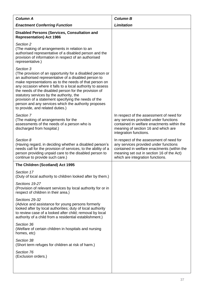| <b>Column A</b>                                                                                                                                                                                                                                                                                                                                                                                                                                                                                                 | <b>Column B</b>                                                                                                                                                                                                   |  |
|-----------------------------------------------------------------------------------------------------------------------------------------------------------------------------------------------------------------------------------------------------------------------------------------------------------------------------------------------------------------------------------------------------------------------------------------------------------------------------------------------------------------|-------------------------------------------------------------------------------------------------------------------------------------------------------------------------------------------------------------------|--|
| <b>Enactment Conferring Function</b>                                                                                                                                                                                                                                                                                                                                                                                                                                                                            | <b>Limitation</b>                                                                                                                                                                                                 |  |
| <b>Disabled Persons (Services, Consultation and</b><br><b>Representation) Act 1986</b>                                                                                                                                                                                                                                                                                                                                                                                                                          |                                                                                                                                                                                                                   |  |
| Section 2<br>(The making of arrangements in relation to an<br>authorised representative of a disabled person and the<br>provision of information in respect of an authorised<br>representative.)                                                                                                                                                                                                                                                                                                                |                                                                                                                                                                                                                   |  |
| Section 3<br>(The provision of an opportunity for a disabled person or<br>an authorised representative of a disabled person to<br>make representations as to the needs of that person on<br>any occasion where it falls to a local authority to assess<br>the needs of the disabled person for the provision of<br>statutory services by the authority, the<br>provision of a statement specifying the needs of the<br>person and any services which the authority proposes<br>to provide, and related duties.) |                                                                                                                                                                                                                   |  |
| Section 7<br>(The making of arrangements for the<br>assessments of the needs of a person who is<br>discharged from hospital.)                                                                                                                                                                                                                                                                                                                                                                                   | In respect of the assessment of need for<br>any services provided under functions<br>contained in welfare enactments within the<br>meaning of section 16 and which are<br>integration functions.                  |  |
| Section 8<br>(Having regard, in deciding whether a disabled person's<br>needs call for the provision of services, to the ability of a<br>person providing unpaid care to the disabled person to<br>continue to provide such care.)                                                                                                                                                                                                                                                                              | In respect of the assessment of need for<br>any services provided under functions<br>contained in welfare enactments (within the<br>meaning set out in section 16 of the Act)<br>which are integration functions. |  |
| The Children (Scotland) Act 1995                                                                                                                                                                                                                                                                                                                                                                                                                                                                                |                                                                                                                                                                                                                   |  |
| Section 17<br>(Duty of local authority to children looked after by them.)                                                                                                                                                                                                                                                                                                                                                                                                                                       |                                                                                                                                                                                                                   |  |
| Sections 19-27<br>(Provision of relevant services by local authority for or in<br>respect of children in their area.)                                                                                                                                                                                                                                                                                                                                                                                           |                                                                                                                                                                                                                   |  |
| Sections 29-32<br>(Advice and assistance for young persons formerly<br>looked after by local authorities; duty of local authority<br>to review case of a looked after child; removal by local<br>authority of a child from a residential establishment.)                                                                                                                                                                                                                                                        |                                                                                                                                                                                                                   |  |
| Section 36<br>(Welfare of certain children in hospitals and nursing<br>homes, etc)                                                                                                                                                                                                                                                                                                                                                                                                                              |                                                                                                                                                                                                                   |  |
| Section 38<br>(Short term refuges for children at risk of harm.)                                                                                                                                                                                                                                                                                                                                                                                                                                                |                                                                                                                                                                                                                   |  |
| Section 76<br>(Exclusion orders.)                                                                                                                                                                                                                                                                                                                                                                                                                                                                               |                                                                                                                                                                                                                   |  |
|                                                                                                                                                                                                                                                                                                                                                                                                                                                                                                                 |                                                                                                                                                                                                                   |  |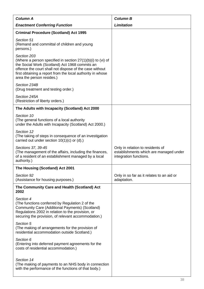| <b>Column A</b>                                                                                                                                                                                                                                                                      | <b>Column B</b>                                                                                      |  |
|--------------------------------------------------------------------------------------------------------------------------------------------------------------------------------------------------------------------------------------------------------------------------------------|------------------------------------------------------------------------------------------------------|--|
| <b>Enactment Conferring Function</b>                                                                                                                                                                                                                                                 | <b>Limitation</b>                                                                                    |  |
| <b>Criminal Procedure (Scotland) Act 1995</b>                                                                                                                                                                                                                                        |                                                                                                      |  |
| Section 51<br>(Remand and committal of children and young<br>persons.)                                                                                                                                                                                                               |                                                                                                      |  |
| Section 203<br>(Where a person specified in section $27(1)(b)(i)$ to (vi) of<br>the Social Work (Scotland) Act 1968 commits an<br>offence the court shall not dispose of the case without<br>first obtaining a report from the local authority in whose<br>area the person resides.) |                                                                                                      |  |
| Section 234B<br>(Drug treatment and testing order.)                                                                                                                                                                                                                                  |                                                                                                      |  |
| Section 245A<br>(Restriction of liberty orders.)                                                                                                                                                                                                                                     |                                                                                                      |  |
| The Adults with Incapacity (Scotland) Act 2000                                                                                                                                                                                                                                       |                                                                                                      |  |
| Section 10<br>(The general functions of a local authority<br>under the Adults with Incapacity (Scotland) Act 2000.)                                                                                                                                                                  |                                                                                                      |  |
| Section 12<br>(The taking of steps in consequence of an investigation<br>carried out under section $10(1)(c)$ or (d).)                                                                                                                                                               |                                                                                                      |  |
| Sections 37, 39-45<br>(The management of the affairs, including the finances,<br>of a resident of an establishment managed by a local<br>authority.)                                                                                                                                 | Only in relation to residents of<br>establishments which are managed under<br>integration functions. |  |
| The Housing (Scotland) Act 2001                                                                                                                                                                                                                                                      |                                                                                                      |  |
| Section 92<br>(Assistance for housing purposes.)                                                                                                                                                                                                                                     | Only in so far as it relates to an aid or<br>adaptation.                                             |  |
| The Community Care and Health (Scotland) Act<br>2002                                                                                                                                                                                                                                 |                                                                                                      |  |
| Section 4<br>(The functions conferred by Regulation 2 of the<br>Community Care (Additional Payments) (Scotland)<br>Regulations 2002 in relation to the provision, or<br>securing the provision, of relevant accommodation.)                                                          |                                                                                                      |  |
| Section 5<br>(The making of arrangements for the provision of<br>residential accommodation outside Scotland.)                                                                                                                                                                        |                                                                                                      |  |
| Section 6<br>(Entering into deferred payment agreements for the<br>costs of residential accommodation.)                                                                                                                                                                              |                                                                                                      |  |
| Section 14<br>(The making of payments to an NHS body in connection<br>with the performance of the functions of that body.)                                                                                                                                                           |                                                                                                      |  |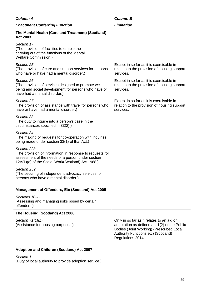| <b>Column A</b>                                                                                                                                                                    | <b>Column B</b>                                                                                                                                                                                   |  |
|------------------------------------------------------------------------------------------------------------------------------------------------------------------------------------|---------------------------------------------------------------------------------------------------------------------------------------------------------------------------------------------------|--|
| <b>Enactment Conferring Function</b>                                                                                                                                               | <b>Limitation</b>                                                                                                                                                                                 |  |
| The Mental Health (Care and Treatment) (Scotland)<br><b>Act 2003</b>                                                                                                               |                                                                                                                                                                                                   |  |
| Section 17<br>(The provision of facilities to enable the<br>carrying out of the functions of the Mental<br><b>Welfare Commission.)</b>                                             |                                                                                                                                                                                                   |  |
| Section 25<br>(The provision of care and support services for persons<br>who have or have had a mental disorder.)                                                                  | Except in so far as it is exercisable in<br>relation to the provision of housing support<br>services.                                                                                             |  |
| Section 26<br>(The provision of services designed to promote well-<br>being and social development for persons who have or<br>have had a mental disorder.)                         | Except in so far as it is exercisable in<br>relation to the provision of housing support<br>services.                                                                                             |  |
| Section 27<br>(The provision of assistance with travel for persons who<br>have or have had a mental disorder.)                                                                     | Except in so far as it is exercisable in<br>relation to the provision of housing support<br>services.                                                                                             |  |
| Section 33<br>(The duty to inquire into a person's case in the<br>circumstances specified in 33(2).)                                                                               |                                                                                                                                                                                                   |  |
| Section 34<br>(The making of requests for co-operation with inquiries<br>being made under section 33(1) of that Act.)                                                              |                                                                                                                                                                                                   |  |
| Section 228<br>(The provision of information in response to requests for<br>assessment of the needs of a person under section<br>12A(1)(a) of the Social Work(Scotland) Act 1968.) |                                                                                                                                                                                                   |  |
| Section 259<br>(The securing of independent advocacy services for<br>persons who have a mental disorder.)                                                                          |                                                                                                                                                                                                   |  |
| Management of Offenders, Etc (Scotland) Act 2005                                                                                                                                   |                                                                                                                                                                                                   |  |
| Sections 10-11<br>(Assessing and managing risks posed by certain<br>offenders.)                                                                                                    |                                                                                                                                                                                                   |  |
| The Housing (Scotland) Act 2006                                                                                                                                                    |                                                                                                                                                                                                   |  |
| Section $71(1)(b)$<br>(Assistance for housing purposes.)                                                                                                                           | Only in so far as it relates to an aid or<br>adaptation as defined at s1(2) of the Public<br>Bodies (Joint Working) (Prescribed Local<br>Authority Functions etc) (Scotland)<br>Regulations 2014. |  |
| Adoption and Children (Scotland) Act 2007                                                                                                                                          |                                                                                                                                                                                                   |  |
| Section 1<br>(Duty of local authority to provide adoption service.)                                                                                                                |                                                                                                                                                                                                   |  |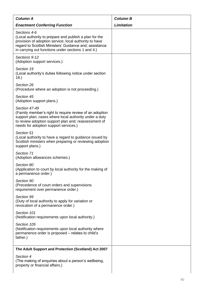| <b>Column A</b>                                                                                                                                                                                                                                  | <b>Column B</b>   |
|--------------------------------------------------------------------------------------------------------------------------------------------------------------------------------------------------------------------------------------------------|-------------------|
| <b>Enactment Conferring Function</b>                                                                                                                                                                                                             | <b>Limitation</b> |
| Sections 4-6<br>(Local authority to prepare and publish a plan for the<br>provision of adoption service; local authority to have<br>regard to Scottish Ministers' Guidance and; assistance<br>in carrying out functions under sections 1 and 4.) |                   |
| Sections 9-12<br>(Adoption support services.)                                                                                                                                                                                                    |                   |
| Section 19<br>(Local authority's duties following notice under section<br>18.                                                                                                                                                                    |                   |
| Section 26<br>(Procedure where an adoption is not proceeding.)                                                                                                                                                                                   |                   |
| Section 45<br>(Adoption support plans.)                                                                                                                                                                                                          |                   |
| Section 47-49<br>(Family member's right to require review of an adoption<br>support plan; cases where local authority under a duty<br>to review adoption support plan and; reassessment of<br>needs for adoption support services.)              |                   |
| Section 51<br>(Local authority to have a regard to guidance issued by<br>Scottish ministers when preparing or reviewing adoption<br>support plans.)                                                                                              |                   |
| Section 71<br>(Adoption allowances schemes.)                                                                                                                                                                                                     |                   |
| Section 80<br>(Application to court by local authority for the making of<br>a permanence order.)                                                                                                                                                 |                   |
| Section 90<br>(Precedence of court orders and supervisions<br>requirement over permanence order.)                                                                                                                                                |                   |
| Section 99<br>(Duty of local authority to apply for variation or<br>revocation of a permanence order.)                                                                                                                                           |                   |
| Section 101<br>(Notification requirements upon local authority.)                                                                                                                                                                                 |                   |
| Section 105<br>(Notification requirements upon local authority where<br>permanence order is proposed - relates to child's<br>father.)                                                                                                            |                   |
| The Adult Support and Protection (Scotland) Act 2007                                                                                                                                                                                             |                   |
| Section 4<br>(The making of enquiries about a person's wellbeing,<br>property or financial affairs.)                                                                                                                                             |                   |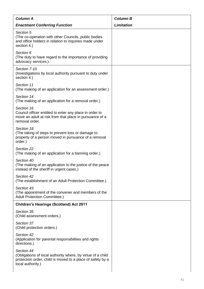| <b>Column A</b>                                                                                                                                              | <b>Column B</b>   |
|--------------------------------------------------------------------------------------------------------------------------------------------------------------|-------------------|
| <b>Enactment Conferring Function</b>                                                                                                                         | <b>Limitation</b> |
|                                                                                                                                                              |                   |
| Section 5<br>(The co-operation with other Councils, public bodies<br>and office holders in relation to inquiries made under<br>section 4.)                   |                   |
| Section 6<br>(The duty to have regard to the importance of providing<br>advocacy services.)                                                                  |                   |
| Section 7-10<br>(Investigations by local authority pursuant to duty under<br>section 4.)                                                                     |                   |
| Section 11<br>(The making of an application for an assessment order.)                                                                                        |                   |
| Section 14<br>(The making of an application for a removal order.)                                                                                            |                   |
| Section 16<br>Council officer entitled to enter any place in order to<br>move an adult at risk from that place in pursuance of a<br>removal order.           |                   |
| Section 18<br>(The taking of steps to prevent loss or damage to<br>property of a person moved in pursuance of a removal<br>order.)                           |                   |
| Section 22<br>(The making of an application for a banning order.)                                                                                            |                   |
| Section 40<br>(The making of an application to the justice of the peace<br>instead of the sheriff in urgent cases.)                                          |                   |
| Section 42<br>(The establishment of an Adult Protection Committee.)                                                                                          |                   |
| Section 43<br>(The appointment of the convener and members of the<br><b>Adult Protection Committee.)</b>                                                     |                   |
| <b>Children's Hearings (Scotland) Act 2011</b>                                                                                                               |                   |
| Section 35<br>(Child assessment orders.)                                                                                                                     |                   |
| Section 37<br>(Child protection orders.)                                                                                                                     |                   |
| Section 42<br>(Application for parental responsibilities and rights<br>directions.)                                                                          |                   |
| Section 44<br>(Obligations of local authority where, by virtue of a child<br>protection order, child is moved to a place of safety by a<br>local authority.) |                   |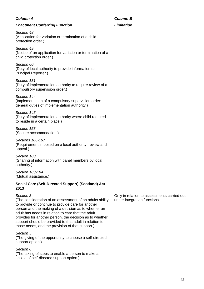| <b>Column A</b>                                                                                                                                                                                                                                                                                                                                                                                                     | <b>Column B</b>                                                             |
|---------------------------------------------------------------------------------------------------------------------------------------------------------------------------------------------------------------------------------------------------------------------------------------------------------------------------------------------------------------------------------------------------------------------|-----------------------------------------------------------------------------|
| <b>Enactment Conferring Function</b>                                                                                                                                                                                                                                                                                                                                                                                | <b>Limitation</b>                                                           |
| Section 48<br>(Application for variation or termination of a child<br>protection order.)                                                                                                                                                                                                                                                                                                                            |                                                                             |
| Section 49<br>(Notice of an application for variation or termination of a<br>child protection order.)                                                                                                                                                                                                                                                                                                               |                                                                             |
| Section 60<br>(Duty of local authority to provide information to<br>Principal Reporter.)                                                                                                                                                                                                                                                                                                                            |                                                                             |
| Section 131<br>(Duty of implementation authority to require review of a<br>compulsory supervision order.)                                                                                                                                                                                                                                                                                                           |                                                                             |
| Section 144<br>(Implementation of a compulsory supervision order:<br>general duties of implementation authority.)                                                                                                                                                                                                                                                                                                   |                                                                             |
| Section 145<br>(Duty of implementation authority where child required<br>to reside in a certain place.)                                                                                                                                                                                                                                                                                                             |                                                                             |
| Section 153<br>(Secure accommodation.)                                                                                                                                                                                                                                                                                                                                                                              |                                                                             |
| Sections 166-167<br>(Requirement imposed on a local authority: review and<br>appeal.)                                                                                                                                                                                                                                                                                                                               |                                                                             |
| Section 180<br>(Sharing of information with panel members by local<br>authority.)                                                                                                                                                                                                                                                                                                                                   |                                                                             |
| Section 183-184<br>(Mutual assistance.)                                                                                                                                                                                                                                                                                                                                                                             |                                                                             |
| Social Care (Self-Directed Support) (Scotland) Act<br>2013                                                                                                                                                                                                                                                                                                                                                          |                                                                             |
| Section 3<br>(The consideration of an assessment of an adults ability<br>to provide or continue to provide care for another<br>person and the making of a decision as to whether an<br>adult has needs in relation to care that the adult<br>provides for another person, the decision as to whether<br>support should be provided to that adult in relation to<br>those needs, and the provision of that support.) | Only in relation to assessments carried out<br>under integration functions. |
| Section 5<br>(The giving of the opportunity to choose a self-directed<br>support option.)                                                                                                                                                                                                                                                                                                                           |                                                                             |
| Section 6<br>(The taking of steps to enable a person to make a<br>choice of self-directed support option.)                                                                                                                                                                                                                                                                                                          |                                                                             |
|                                                                                                                                                                                                                                                                                                                                                                                                                     |                                                                             |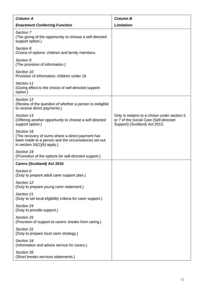| <b>Column A</b>                                                                                                                                        | <b>Column B</b>                                                                                                         |
|--------------------------------------------------------------------------------------------------------------------------------------------------------|-------------------------------------------------------------------------------------------------------------------------|
| <b>Enactment Conferring Function</b>                                                                                                                   | <b>Limitation</b>                                                                                                       |
| Section 7<br>(The giving of the opportunity to choose a self-directed<br>support option.)                                                              |                                                                                                                         |
| Section 8<br>Choice of options: children and family members.                                                                                           |                                                                                                                         |
| Section 9<br>(The provision of information.)                                                                                                           |                                                                                                                         |
| Section 10<br>Provision of information: children under 16                                                                                              |                                                                                                                         |
| Section 11<br>(Giving effect to the choice of self-directed support)<br>option.)                                                                       |                                                                                                                         |
| Section 12<br>(Review of the question of whether a person is ineligible<br>to receive direct payments.)                                                |                                                                                                                         |
| Section 13<br>(Offering another opportunity to choose a self-directed<br>support option.)                                                              | Only in relation to a choice under section 5<br>or 7 of the Social Care (Self-directed<br>Support) (Scotland) Act 2013. |
| Section 16<br>(The recovery of sums where a direct payment has<br>been made to a person and the circumstances set out<br>in section $16(1)(b)$ apply.) |                                                                                                                         |
| Section 19<br>(Promotion of the options for self-directed support.)                                                                                    |                                                                                                                         |
| <b>Carers (Scotland) Act 2016</b>                                                                                                                      |                                                                                                                         |
| Section 6<br>(Duty to prepare adult carer support plan.)                                                                                               |                                                                                                                         |
| Section 12<br>(Duty to prepare young carer statement.)                                                                                                 |                                                                                                                         |
| Section 21<br>(Duty to set local eligibility criteria for carer support.)                                                                              |                                                                                                                         |
| Section 24<br>(Duty to provide support.)                                                                                                               |                                                                                                                         |
| Section 25<br>(Provision of support to carers: breaks from caring.)                                                                                    |                                                                                                                         |
| Section 31<br>(Duty to prepare local carer strategy.)                                                                                                  |                                                                                                                         |
| Section 34<br>(Information and advice service for carers.)                                                                                             |                                                                                                                         |
| Section 35<br>(Short breaks services statements.)                                                                                                      |                                                                                                                         |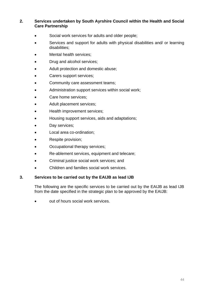#### **2. Services undertaken by South Ayrshire Council within the Health and Social Care Partnership**

- Social work services for adults and older people;
- Services and support for adults with physical disabilities and/ or learning disabilities;
- Mental health services;
- Drug and alcohol services;
- Adult protection and domestic abuse;
- Carers support services;
- Community care assessment teams;
- Administration support services within social work;
- Care home services:
- Adult placement services;
- Health improvement services;
- Housing support services, aids and adaptations;
- Day services;
- Local area co-ordination;
- Respite provision;
- Occupational therapy services;
- Re-ablement services, equipment and telecare;
- Criminal justice social work services; and
- Children and families social work services.

#### **3. Services to be carried out by the EAIJB as lead IJB**

The following are the specific services to be carried out by the EAIJB as lead IJB from the date specified in the strategic plan to be approved by the EAIJB:

• out of hours social work services.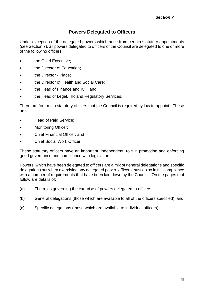# **Powers Delegated to Officers**

Under exception of the delegated powers which arise from certain statutory appointments (see Section 7), all powers delegated to officers of the Council are delegated to one or more of the following officers:

- **the Chief Executive;**
- **the Director of Education;**
- **the Director Place;**
- the Director of Health and Social Care;
- the Head of Finance and ICT; and
- the Head of Legal, HR and Regulatory Services.

There are four main statutory officers that the Council is required by law to appoint. These are:

- Head of Paid Service;
- Monitoring Officer;
- Chief Financial Officer; and
- Chief Social Work Officer.

These statutory officers have an important, independent, role in promoting and enforcing good governance and compliance with legislation.

Powers, which have been delegated to officers are a mix of general delegations and specific delegations but when exercising any delegated power, officers must do so in full compliance with a number of requirements that have been laid down by the Council. On the pages that follow are details of:

- (a) The rules governing the exercise of powers delegated to officers;
- (b) General delegations (those which are available to all of the officers specified); and
- (c) Specific delegations (those which are available to individual officers).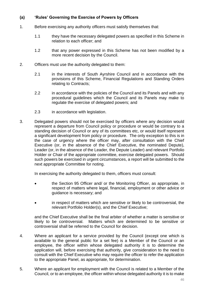### **(a) 'Rules' Governing the Exercise of Powers by Officers**

- 1. Before exercising any authority officers must satisfy themselves that:
	- 1.1 they have the necessary delegated powers as specified in this Scheme in relation to each officer; and
	- 1.2 that any power expressed in this Scheme has not been modified by a more recent decision by the Council.
- 2. Officers must use the authority delegated to them:
	- 2.1 in the interests of South Ayrshire Council and in accordance with the provisions of this Scheme, Financial Regulations and Standing Orders relating to Contracts;
	- 2.2 in accordance with the policies of the Council and its Panels and with any procedural guidelines which the Council and its Panels may make to regulate the exercise of delegated powers; and
	- 2.3 in accordance with legislation.
- 3. Delegated powers should not be exercised by officers where any decision would represent a departure from Council policy or procedure or would be contrary to a standing decision of Council or any of its committees etc, or would itself represent a significant development from policy or procedure. The only exception to this is in the case of urgency where the officer may, after consultation with the Chief Executive (or, in the absence of the Chief Executive, the nominated Depute), Leader (or, in the absence of the Leader, the Depute Leader) and relevant Portfolio Holder or Chair of the appropriate committee, exercise delegated powers. Should such powers be exercised in urgent circumstances, a report will be submitted to the next appropriate Committee for noting.

In exercising the authority delegated to them, officers must consult:

- the Section 95 Officer and/ or the Monitoring Officer, as appropriate, in respect of matters where legal, financial, employment or other advice or guidance is necessary; and
- in respect of matters which are sensitive or likely to be controversial, the relevant Portfolio Holder(s), and the Chief Executive;

and the Chief Executive shall be the final arbiter of whether a matter is sensitive or likely to be controversial. Matters which are determined to be sensitive or controversial shall be referred to the Council for decision.

- 4. Where an applicant for a service provided by the Council (except one which is available to the general public for a set fee) is a Member of the Council or an employee, the officer within whose delegated authority it is to determine the application will, before exercising that authority, give consideration to the need to consult with the Chief Executive who may require the officer to refer the application to the appropriate Panel, as appropriate, for determination.
- 5. Where an applicant for employment with the Council is related to a Member of the Council, or to an employee, the officer within whose delegated authority it is to make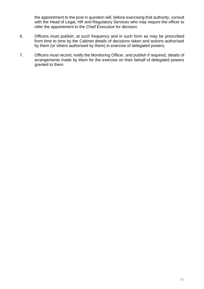the appointment to the post in question will, before exercising that authority, consult with the Head of Legal, HR and Regulatory Services who may require the officer to refer the appointment to the Chief Executive for decision.

- 6. Officers must publish, at such frequency and in such form as may be prescribed from time to time by the Cabinet details of decisions taken and actions authorised by them (or others authorised by them) in exercise of delegated powers.
- 7. Officers must record, notify the Monitoring Officer, and publish if required, details of arrangements made by them for the exercise on their behalf of delegated powers granted to them.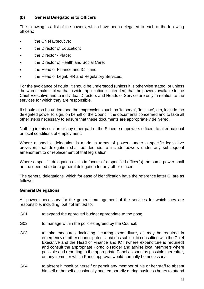### **(b) General Delegations to Officers**

The following is a list of the powers, which have been delegated to each of the following officers:

- the Chief Executive;
- the Director of Education;
- **the Director Place:**
- the Director of Health and Social Care;
- the Head of Finance and ICT; and
- the Head of Legal, HR and Regulatory Services.

For the avoidance of doubt, it should be understood (unless it is otherwise stated, or unless the words make it clear that a wider application is intended) that the powers available to the Chief Executive and to individual Directors and Heads of Service are only in relation to the services for which they are responsible.

It should also be understood that expressions such as 'to serve', 'to issue', etc, include the delegated power to sign, on behalf of the Council, the documents concerned and to take all other steps necessary to ensure that these documents are appropriately delivered.

Nothing in this section or any other part of the Scheme empowers officers to alter national or local conditions of employment.

Where a specific delegation is made in terms of powers under a specific legislative provision, that delegation shall be deemed to include powers under any subsequent amendment to or replacement of that legislation.

Where a specific delegation exists in favour of a specified officer(s) the same power shall not be deemed to be a general delegation for any other officer.

The general delegations, which for ease of identification have the reference letter G. are as follows:

#### **General Delegations**

All powers necessary for the general management of the services for which they are responsible, including, but not limited to:

- G01 to expend the approved budget appropriate to the post;
- G02 to manage within the policies agreed by the Council;
- G03 to take measures, including incurring expenditure, as may be required in emergency or other unanticipated situations subject to consulting with the Chief Executive and the Head of Finance and ICT (where expenditure is required) and consult the appropriate Portfolio Holder and advise local Members where possible and reporting to the appropriate Panel as soon as possible thereafter, on any items for which Panel approval would normally be necessary;
- G04 to absent himself or herself or permit any member of his or her staff to absent himself or herself occasionally and temporarily during business hours to attend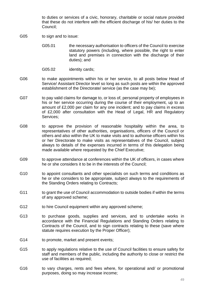to duties or services of a civic, honorary, charitable or social nature provided that these do not interfere with the efficient discharge of his/ her duties to the Council;

- G05 to sign and to issue:
	- G05.01 the necessary authorisation to officers of the Council to exercise statutory powers (including, where possible, the right to enter land and premises in connection with the discharge of their duties); and
	- G05.02 identity cards;
- G06 to make appointments within his or her service, to all posts below Head of Service/ Assistant Director level so long as such posts are within the approved establishment of the Directorate/ service (as the case may be);
- G07 to pay valid claims for damage to, or loss of, personal property of employees in his or her service occurring during the course of their employment, up to an amount of £2,000 per claim for any one incident; and to pay claims in excess of £2,000 after consultation with the Head of Legal, HR and Regulatory Services;
- G08 to approve the provision of reasonable hospitality within the area, to representatives of other authorities, organisations, officers of the Council or others and also within the UK to make visits and to authorise officers within his or her Directorate to make visits as representatives of the Council, subject always to details of the expenses incurred in terms of this delegation being made available where requested by the Chief Executive;
- G09 to approve attendance at conferences within the UK of officers, in cases where he or she considers it to be in the interests of the Council;
- G10 to appoint consultants and other specialists on such terms and conditions as he or she considers to be appropriate, subject always to the requirements of the Standing Orders relating to Contracts;
- G11 to grant the use of Council accommodation to outside bodies if within the terms of any approved scheme;
- G12 to hire Council equipment within any approved scheme;
- G13 to purchase goods, supplies and services, and to undertake works in accordance with the Financial Regulations and Standing Orders relating to Contracts of the Council, and to sign contracts relating to these (save where statute requires execution by the Proper Officer);
- G14 to promote, market and present events;
- G15 to apply regulations relative to the use of Council facilities to ensure safety for staff and members of the public, including the authority to close or restrict the use of facilities as required;
- G16 to vary charges, rents and fees where, for operational and/ or promotional purposes, doing so may increase income;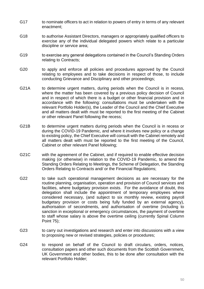- G17 to nominate officers to act in relation to powers of entry in terms of any relevant enactment;
- G18 to authorise Assistant Directors, managers or appropriately qualified officers to exercise any of the individual delegated powers which relate to a particular discipline or service area;
- G19 to exercise any general delegations contained in the Council's Standing Orders relating to Contracts;
- G20 to apply and enforce all policies and procedures approved by the Council relating to employees and to take decisions in respect of those, to include conducting Grievance and Disciplinary and other proceedings;
- G21A to determine urgent matters, during periods when the Council is in recess, where the matter has been covered by a previous policy decision of Council and in respect of which there is a budget or other financial provision and in accordance with the following: consultations must be undertaken with the relevant Portfolio Holder(s), the Leader of the Council and the Chief Executive and all matters dealt with must be reported to the first meeting of the Cabinet or other relevant Panel following the recess;
- G21B to determine urgent matters during periods when the Council is in recess or during the COVID-19 Pandemic, and where it involves new policy or a change to existing policy, the Chief Executive will consult with the Cabinet remotely and all matters dealt with must be reported to the first meeting of the Council, Cabinet or other relevant Panel following;
- G21C with the agreement of the Cabinet, and if required to enable effective decision making (or otherwise) in relation to the COVID-19 Pandemic, to amend the Standing Orders Relating to Meetings, the Scheme of Delegation, the Standing Orders Relating to Contracts and/ or the Financial Regulations;
- G22 to take such operational management decisions as are necessary for the routine planning, organisation, operation and provision of Council services and facilities, where budgetary provision exists. For the avoidance of doubt, this delegation shall include the appointment of temporary employees where considered necessary, (and subject to six monthly review, existing payroll budgetary provision or costs being fully funded by an external agency), authorisation of secondments, and authorisation of overtime (including to sanction in exceptional or emergency circumstances, the payment of overtime to staff whose salary is above the overtime ceiling (currently Spinal Column Point 75);
- G23 to carry out investigations and research and enter into discussions with a view to proposing new or revised strategies, policies or procedures;
- G24 to respond on behalf of the Council to draft circulars, orders, notices, consultation papers and other such documents from the Scottish Government, UK Government and other bodies, this to be done after consultation with the relevant Portfolio Holder;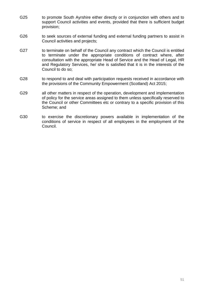- G25 to promote South Ayrshire either directly or in conjunction with others and to support Council activities and events, provided that there is sufficient budget provision;
- G26 to seek sources of external funding and external funding partners to assist in Council activities and projects;
- G27 to terminate on behalf of the Council any contract which the Council is entitled to terminate under the appropriate conditions of contract where, after consultation with the appropriate Head of Service and the Head of Legal, HR and Regulatory Services, he/ she is satisfied that it is in the interests of the Council to do so;
- G28 to respond to and deal with participation requests received in accordance with the provisions of the Community Empowerment (Scotland) Act 2015;
- G29 all other matters in respect of the operation, development and implementation of policy for the service areas assigned to them unless specifically reserved to the Council or other Committees etc or contrary to a specific provision of this Scheme; and
- G30 to exercise the discretionary powers available in implementation of the conditions of service in respect of all employees in the employment of the Council.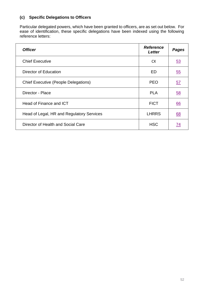# **(c) Specific Delegations to Officers**

Particular delegated powers, which have been granted to officers, are as set out below. For ease of identification, these specific delegations have been indexed using the following reference letters:

| <b>Officer</b>                              | <b>Reference</b><br>Letter | <b>Pages</b> |
|---------------------------------------------|----------------------------|--------------|
| <b>Chief Executive</b>                      | <b>CX</b>                  | <u>53</u>    |
| Director of Education                       | ED                         | 55           |
| <b>Chief Executive (People Delegations)</b> | <b>PEO</b>                 | <u>57</u>    |
| Director - Place                            | <b>PLA</b>                 | 58           |
| Head of Finance and ICT                     | <b>FICT</b>                | <u>66</u>    |
| Head of Legal, HR and Regulatory Services   | <b>LHRRS</b>               | 68           |
| Director of Health and Social Care          | <b>HSC</b>                 | 74           |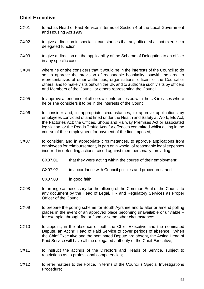## <span id="page-55-0"></span>**Chief Executive**

- CX01 to act as Head of Paid Service in terms of Section 4 of the Local Government and Housing Act 1989;
- CX02 to give a direction in special circumstances that any officer shall not exercise a delegated function;
- CX03 to give a direction on the applicability of the Scheme of Delegation to an officer in any specific case;
- CX04 where he or she considers that it would be in the interests of the Council to do so, to approve the provision of reasonable hospitality, outwith the area to representatives of other authorities, organisations, officers of the Council or others; and to make visits outwith the UK and to authorise such visits by officers and Members of the Council or others representing the Council;
- CX05 to approve attendance of officers at conferences outwith the UK in cases where he or she considers it to be in the interests of the Council;
- CX06 to consider and, in appropriate circumstances, to approve applications by employees convicted of and fined under the Health and Safety at Work, Etc Act; the Factories Act; the Offices, Shops and Railway Premises Act or associated legislation, or the Roads Traffic Acts for offences committed whilst acting in the course of their employment for payment of the fine imposed;
- CX07 to consider, and in appropriate circumstances, to approve applications from employees for reimbursement, in part or in whole, of reasonable legal expenses incurred in defending actions raised against them personally, providing:
	- CX07.01 that they were acting within the course of their employment;
	- CX07.02 in accordance with Council policies and procedures; and
	- CX07.03 in good faith;
- CX08 to arrange as necessary for the affixing of the Common Seal of the Council to any document by the Head of Legal, HR and Regulatory Services as Proper Officer of the Council;
- CX09 to prepare the polling scheme for South Ayrshire and to alter or amend polling places in the event of an approved place becoming unavailable or unviable – for example, through fire or flood or some other circumstance;
- CX10 to appoint, in the absence of both the Chief Executive and the nominated Depute, an Acting Head of Paid Service to cover periods of absence. When the Chief Executive and the nominated Depute are absent, the Acting Head of Paid Service will have all the delegated authority of the Chief Executive;
- CX11 to instruct the actings of the Directors and Heads of Service, subject to restrictions as to professional competencies;
- CX12 to refer matters to the Police, in terms of the Council's Special Investigations Procedure;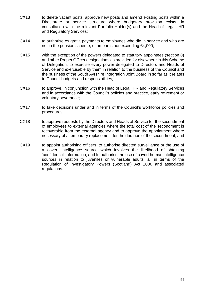- CX13 to delete vacant posts, approve new posts and amend existing posts within a Directorate or service structure where budgetary provision exists, in consultation with the relevant Portfolio Holder(s) and the Head of Legal, HR and Regulatory Services;
- CX14 to authorise ex gratia payments to employees who die in service and who are not in the pension scheme, of amounts not exceeding £4,000;
- CX15 with the exception of the powers delegated to statutory appointees (section 8) and other Proper Officer designations as provided for elsewhere in this Scheme of Delegation, to exercise every power delegated to Directors and Heads of Service and exercisable by them in relation to the business of the Council and the business of the South Ayrshire Integration Joint Board in so far as it relates to Council budgets and responsibilities;
- CX16 to approve, in conjunction with the Head of Legal, HR and Regulatory Services and in accordance with the Council's policies and practice, early retirement or voluntary severance;
- CX17 to take decisions under and in terms of the Council's workforce policies and procedures;
- CX18 to approve requests by the Directors and Heads of Service for the secondment of employees to external agencies where the total cost of the secondment is recoverable from the external agency and to approve the appointment where necessary of a temporary replacement for the duration of the secondment; and
- CX19 to appoint authorising officers, to authorise directed surveillance or the use of a covert intelligence source which involves the likelihood of obtaining 'confidential' information, and to authorise the use of covert human intelligence sources in relation to juveniles or vulnerable adults, all in terms of the Regulation of Investigatory Powers (Scotland) Act 2000 and associated regulations.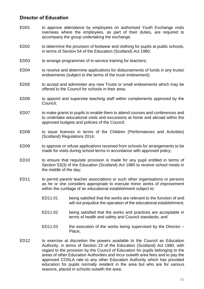## <span id="page-57-0"></span>**Director of Education**

- ED01 to approve attendance by employees on authorised Youth Exchange visits overseas where the employees, as part of their duties, are required to accompany the group undertaking the exchange;
- ED02 to determine the provision of footwear and clothing for pupils at public schools, in terms of Section 54 of the Education (Scotland) Act 1980;
- ED03 to arrange programmes of in-service training for teachers;
- ED04 to receive and determine applications for disbursements of funds in any trusts/ endowments (subject to the terms of the trust/ endowment);
- ED05 to accept and administer any new Trusts or small endowments which may be offered to the Council for schools in their area;
- ED06 to appoint and supervise teaching staff within complements approved by the Council;
- ED07 to make grants to pupils to enable them to attend courses and conferences and to undertake educational visits and excursions at home and abroad within the approved budgets and policies of the Council;
- ED08 to issue licences in terms of the Children (Performances and Activities) (Scotland) Regulations 2014;
- ED09 to approve or refuse applications received from schools for arrangements to be made for visits during school terms in accordance with approved policy;
- ED10 to ensure that requisite provision is made for any pupil entitled in terms of Section 53(3) of the Education (Scotland) Act 1980 to receive school meals in the middle of the day;
- ED11 to permit parent/ teacher associations or such other organisations or persons as he or she considers appropriate to execute minor works of improvement within the curtilage of an educational establishment subject to:
	- ED11.01 being satisfied that the works are relevant to the function of and will not prejudice the operation of the educational establishment;
	- ED11.02 being satisfied that the works and practices are acceptable in terms of health and safety and Council standards; and
	- ED11.03 the execution of the works being supervised by the Director  $-$ Place;
- ED12 to exercise at discretion the powers available to the Council as Education Authority, in terms of Section 23 of the Education (Scotland) Act 1980, with regard to the provision by the Council of Education for pupils belonging to the areas of other Education Authorities and incur outwith area fees and to pay the approved COSLA rate to any other Education Authority which has provided education for pupils normally resident in the area but who are for various reasons, placed in schools outwith the area;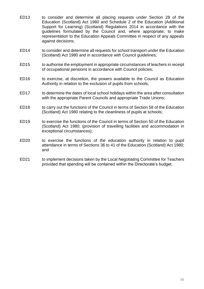- ED13 to consider and determine all placing requests under Section 28 of the Education (Scotland) Act 1980 and Schedule 2 of the Education (Additional Support for Learning) (Scotland) Regulations 2014 in accordance with the guidelines formulated by the Council and, where appropriate, to make representation to the Education Appeals Committee in respect of any appeals against decisions;
- ED14 to consider and determine all requests for school transport under the Education (Scotland) Act 1980 and in accordance with Council guidelines;
- ED15 to authorise the employment in appropriate circumstances of teachers in receipt of occupational pensions in accordance with Council policies;
- ED16 to exercise, at discretion, the powers available to the Council as Education Authority in relation to the exclusion of pupils from schools;
- ED17 to determine the dates of local school holidays within the area after consultation with the appropriate Parent Councils and appropriate Trade Unions;
- ED18 to carry out the functions of the Council in terms of Section 58 of the Education (Scotland) Act 1980 relating to the cleanliness of pupils at schools;
- ED19 to exercise the functions of the Council in terms of Section 50 of the Education (Scotland) Act 1980; (provision of travelling facilities and accommodation in exceptional circumstances);
- ED20 to exercise the functions of the education authority in relation to pupil attendance in terms of Sections 36 to 41 of the Education (Scotland) Act 1980; and
- ED21 to implement decisions taken by the Local Negotiating Committee for Teachers provided that spending will be contained within the Directorate's budget.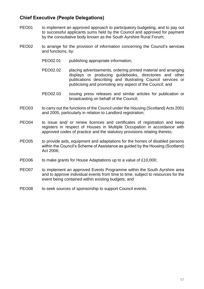# <span id="page-59-0"></span>**Chief Executive (People Delegations)**

- PEO01 to implement an approved approach to participatory budgeting, and to pay out to successful applicants sums held by the Council and approved for payment by the consultative body known as the South Ayrshire Rural Forum;
- PEO02 to arrange for the provision of information concerning the Council's services and functions, by:
	- PEO02.01 publishing appropriate information:
	- PEO02.02 placing advertisements, ordering printed material and arranging displays or producing guidebooks, directories and other publications describing and illustrating Council services or publicising and promoting any aspect of the Council; and
	- PEO02.03 issuing press releases and similar articles for publication or broadcasting on behalf of the Council;
- PEO03 to carry out the functions of the Council under the Housing (Scotland) Acts 2001 and 2005, particularly in relation to Landlord registration;
- PEO04 to issue and/ or renew licences and certificates of registration and keep registers in respect of Houses in Multiple Occupation in accordance with approved codes of practice and the statutory provisions relating thereto;
- PEO05 to provide aids, equipment and adaptations for the homes of disabled persons within the Council's Scheme of Assistance as guided by the Housing (Scotland) Act 2006;
- PEO06 to make grants for House Adaptations up to a value of £10,000;
- PEO07 to implement an approved Events Programme within the South Ayrshire area and to approve individual events from time to time, subject to resources for the event being contained within existing budgets; and
- PEO08 to seek sources of sponsorship to support Council events.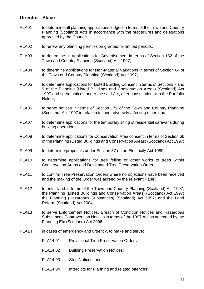### <span id="page-60-0"></span>**Director - Place**

- PLA01 to determine all planning applications lodged in terms of the Town and Country Planning (Scotland) Acts in accordance with the procedures and delegations approved by the Council;
- PLA02 to renew any planning permission granted for limited periods;
- PLA03 to determine all applications for Advertisement in terms of Section 182 of the Town and Country Planning (Scotland) Act 1997;
- PLA04 to determine applications for Non-Material Variations in terms of Section 64 of the Town and Country Planning (Scotland) Act 1997;
- PLA05 to determine applications for Listed Building Consent in terms of Sections 7 and 9 of the Planning (Listed Buildings and Conservation Areas) (Scotland) Act 1997 and serve notices under the said Act, after consultation with the Portfolio Holder;
- PLA06 to serve notices in terms of Section 179 of the Town and Country Planning (Scotland) Act 1997 in relation to land adversely affecting other land;
- PLA07 to determine applications for the temporary siting of residential caravans during building operations;
- PLA08 to determine applications for Conservation Area consent in terms of Section 66 of the Planning (Listed Buildings and Conservation Areas) (Scotland) Act 1997;
- PLA09 to determine proposals under Section 37 of the Electricity Act 1989;
- PLA10 to determine applications for tree felling or other works to trees within Conservation Areas and Designated Tree Preservation Orders;
- PLA11 to confirm Tree Preservation Orders where no objections have been received and the making of the Order was agreed by the relevant Panel;
- PLA12 to enter land in terms of the Town and Country Planning (Scotland) Act 1997, the Planning (Listed Buildings and Conservation Areas) (Scotland) Act 1997; the Planning (Hazardous Substances) (Scotland) Act 1997; and the Land Reform (Scotland) Act 2004;
- PLA13 to serve Enforcement Notices, Breach of Condition Notices and Hazardous Substances Contravention Notices in terms of the 1997 Act as amended by the Planning Etc (Scotland) Act 2006;
- PLA14 in cases of emergency and urgency, to make and serve:
	- PLA14.01 Provisional Tree Preservation Orders;
	- PLA14.02 Building Preservation Notices;
	- PLA14.03 Stop Notices; and
	- PLA14.04 Interdicts for Planning and related offences;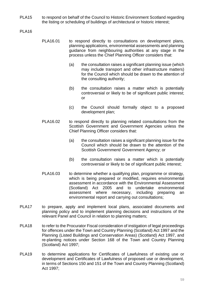- PLA15 to respond on behalf of the Council to Historic Environment Scotland regarding the listing or scheduling of buildings of architectural or historic interest;
- PLA16
- PLA16.01 to respond directly to consultations on development plans, planning applications, environmental assessments and planning guidance from neighbouring authorities at any stage in the process unless the Chief Planning Officer considers that:
	- (a) the consultation raises a significant planning issue (which may include transport and other infrastructure matters) for the Council which should be drawn to the attention of the consulting authority;
	- (b) the consultation raises a matter which is potentially controversial or likely to be of significant public interest; or
	- (c) the Council should formally object to a proposed development plan;
- PLA16.02 to respond directly to planning related consultations from the Scottish Government and Government Agencies unless the Chief Planning Officer considers that:
	- (a) the consultation raises a significant planning issue for the Council which should be drawn to the attention of the Scottish Government/ Government Agency; or
	- (b) the consultation raises a matter which is potentially controversial or likely to be of significant public interest;
- PLA16.03 to determine whether a qualifying plan, programme or strategy, which is being prepared or modified, requires environmental assessment in accordance with the Environmental Assessment (Scotland) Act 2005 and to undertake environmental assessment where necessary, including preparing an environmental report and carrying out consultations;
- PLA17 to prepare, apply and implement local plans, associated documents and planning policy and to implement planning decisions and instructions of the relevant Panel and Council in relation to planning matters;
- PLA18 to refer to the Procurator Fiscal consideration of instigation of legal proceedings for offences under the Town and Country Planning (Scotland) Act 1997 and the Planning (Listed Buildings and Conservation Areas) (Scotland) Act 1997, and re-planting notices under Section 168 of the Town and Country Planning (Scotland) Act 1997;
- PLA19 to determine applications for Certificates of Lawfulness of existing use or development and Certificates of Lawfulness of proposed use or development, in terms of Sections 150 and 151 of the Town and Country Planning (Scotland) Act 1997;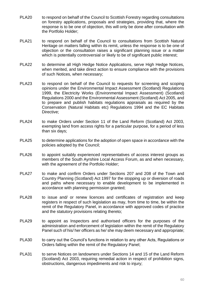- PLA20 to respond on behalf of the Council to Scottish Forestry regarding consultations on forestry applications, proposals and strategies, providing that, where the response is to be one of objection, this will only be done after consultation with the Portfolio Holder;
- PLA21 to respond on behalf of the Council to consultations from Scottish Natural Heritage on matters falling within its remit, unless the response is to be one of objection or the consultation raises a significant planning issue or a matter which is potentially controversial or likely to be of significant public interest;
- PLA22 to determine all High Hedge Notice Applications, serve High Hedge Notices, when merited, and take direct action to ensure compliance with the provisions of such Notices, when necessary;
- PLA23 to respond on behalf of the Council to requests for screening and scoping opinions under the Environmental Impact Assessment (Scotland) Regulations 1999, the Electricity Works (Environmental Impact Assessment) (Scotland) Regulations 2000 and the Environmental Assessment (Scotland) Act 2005, and to prepare and publish habitats regulations appraisals as required by the Conservation (Natural Habitats etc) Regulations 1994 and the EC Habitats Directive;
- PLA24 to make Orders under Section 11 of the Land Reform (Scotland) Act 2003, exempting land from access rights for a particular purpose, for a period of less than six days;
- PLA25 to determine applications for the adoption of open space in accordance with the policies adopted by the Council;
- PLA26 to appoint suitably experienced representatives of access interest groups as members of the South Ayrshire Local Access Forum, as and when necessary, with the agreement of the Portfolio Holder;
- PLA27 to make and confirm Orders under Sections 207 and 208 of the Town and Country Planning (Scotland) Act 1997 for the stopping up or diversion of roads and paths where necessary to enable development to be implemented in accordance with planning permission granted;
- PLA28 to issue and/ or renew licences and certificates of registration and keep registers in respect of such legislation as may, from time to time, be within the remit of the Regulatory Panel, in accordance with approved codes of practice and the statutory provisions relating thereto;
- PLA29 to appoint as Inspectors and authorised officers for the purposes of the administration and enforcement of legislation within the remit of the Regulatory Panel such of his/ her officers as he/ she may deem necessary and appropriate;
- PLA30 to carry out the Council's functions in relation to any other Acts, Regulations or Orders falling within the remit of the Regulatory Panel;
- PLA31 to serve Notices on landowners under Sections 14 and 15 of the Land Reform (Scotland) Act 2003, requiring remedial action in respect of prohibition signs, obstructions, dangerous impediments and risk to injury;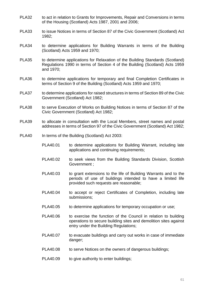- PLA32 to act in relation to Grants for Improvements, Repair and Conversions in terms of the Housing (Scotland) Acts 1987, 2001 and 2006;
- PLA33 to issue Notices in terms of Section 87 of the Civic Government (Scotland) Act 1982;
- PLA34 to determine applications for Building Warrants in terms of the Building (Scotland) Acts 1959 and 1970;
- PLA35 to determine applications for Relaxation of the Building Standards (Scotland) Regulations 1990 in terms of Section 4 of the Building (Scotland) Acts 1959 and 1970;
- PLA36 to determine applications for temporary and final Completion Certificates in terms of Section 9 of the Building (Scotland) Acts 1959 and 1970;
- PLA37 to determine applications for raised structures in terms of Section 89 of the Civic Government (Scotland) Act 1982;
- PLA38 to serve Execution of Works on Building Notices in terms of Section 87 of the Civic Government (Scotland) Act 1982;
- PLA39 to allocate in consultation with the Local Members, street names and postal addresses in terms of Section 97 of the Civic Government (Scotland) Act 1982;
- PLA40 In terms of the Building (Scotland) Act 2003:
	- PLA40.01 to determine applications for Building Warrant, including late applications and continuing requirements;
	- PLA40.02 to seek views from the Building Standards Division, Scottish Government ;
	- PLA40.03 to grant extensions to the life of Building Warrants and to the periods of use of buildings intended to have a limited life provided such requests are reasonable;
	- PLA40.04 to accept or reject Certificates of Completion, including late submissions;
	- PLA40.05 to determine applications for temporary occupation or use;
	- PLA40.06 to exercise the function of the Council in relation to building operations to secure building sites and demolition sites against entry under the Building Regulations;
	- PLA40.07 to evacuate buildings and carry out works in case of immediate danger;
	- PLA40.08 to serve Notices on the owners of dangerous buildings;
	- PLA40.09 to give authority to enter buildings;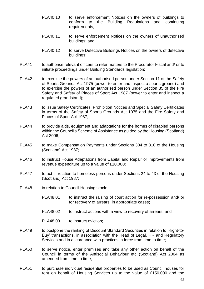- PLA40.10 to serve enforcement Notices on the owners of buildings to conform to the Building Regulations and continuing requirements;
- PLA40.11 to serve enforcement Notices on the owners of unauthorised buildings; and
- PLA40.12 to serve Defective Buildings Notices on the owners of defective buildings;
- PLA41 to authorise relevant officers to refer matters to the Procurator Fiscal and/ or to initiate proceedings under Building Standards legislation;
- PLA42 to exercise the powers of an authorised person under Section 11 of the Safety of Sports Grounds Act 1975 (power to enter and inspect a sports ground) and to exercise the powers of an authorised person under Section 35 of the Fire Safety and Safety of Places of Sport Act 1987 (power to enter and inspect a regulated grandstand);
- PLA43 to issue Safety Certificates, Prohibition Notices and Special Safety Certificates in terms of the Safety of Sports Grounds Act 1975 and the Fire Safety and Places of Sport Act 1987;
- PLA44 to provide aids, equipment and adaptations for the homes of disabled persons within the Council's Scheme of Assistance as guided by the Housing (Scotland) Act 2006;
- PLA45 to make Compensation Payments under Sections 304 to 310 of the Housing (Scotland) Act 1987;
- PLA46 to instruct House Adaptations from Capital and Repair or Improvements from revenue expenditure up to a value of £10,000;
- PLA47 to act in relation to homeless persons under Sections 24 to 43 of the Housing (Scotland) Act 1987;
- PLA48 in relation to Council Housing stock:
	- PLA48.01 to instruct the raising of court action for re-possession and/ or for recovery of arrears, in appropriate cases;
	- PLA48.02 to instruct actions with a view to recovery of arrears; and
	- PLA48.03 to instruct eviction;
- PLA49 to postpone the ranking of Discount Standard Securities in relation to 'Right-to-Buy' transactions, in association with the Head of Legal, HR and Regulatory Services and in accordance with practices in force from time to time;
- PLA50 to serve notice, enter premises and take any other action on behalf of the Council in terms of the Antisocial Behaviour etc (Scotland) Act 2004 as amended from time to time;
- PLA51 to purchase individual residential properties to be used as Council houses for rent on behalf of Housing Services up to the value of £150,000 and the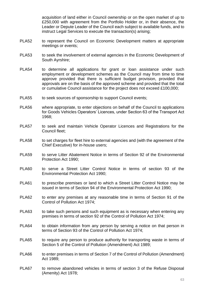acquisition of land either in Council ownership or on the open market of up to £250,000 with agreement from the Portfolio Holder or, in their absence, the Leader or Depute Leader of the Council each subject to available funds, and to instruct Legal Services to execute the transaction(s) arising;

- PLA52 to represent the Council on Economic Development matters at appropriate meetings or events;
- PLA53 to seek the involvement of external agencies in the Economic Development of South Ayrshire;
- PLA54 to determine all applications for grant or loan assistance under such employment or development schemes as the Council may from time to time approve provided that there is sufficient budget provision, provided that approvals are on the basis of the approved scheme and provided that the total or cumulative Council assistance for the project does not exceed £100,000;
- PLA55 to seek sources of sponsorship to support Council events;
- PLA56 where appropriate, to enter objections on behalf of the Council to applications for Goods Vehicles Operators' Licences, under Section 63 of the Transport Act 1968;
- PLA57 to seek and maintain Vehicle Operator Licences and Registrations for the Council fleet;
- PLA58 to set charges for fleet hire to external agencies and (with the agreement of the Chief Executive) for in-house users;
- PLA59 to serve Litter Abatement Notice in terms of Section 92 of the Environmental Protection Act 1990;
- PLA60 to serve a Street Litter Control Notice in terms of section 93 of the Environmental Protection Act 1990;
- PLA61 to prescribe premises or land to which a Street Litter Control Notice may be issued in terms of Section 94 of the Environmental Protection Act 1990;
- PLA62 to enter any premises at any reasonable time in terms of Section 91 of the Control of Pollution Act 1974;
- PLA63 to take such persons and such equipment as is necessary when entering any premises in terms of section 92 of the Control of Pollution Act 1974;
- PLA64 to obtain information from any person by serving a notice on that person in terms of Section 93 of the Control of Pollution Act 1974;
- PLA65 to require any person to produce authority for transporting waste in terms of Section 5 of the Control of Pollution (Amendment) Act 1989;
- PLA66 to enter premises in terms of Section 7 of the Control of Pollution (Amendment) Act 1989;
- PLA67 to remove abandoned vehicles in terms of section 3 of the Refuse Disposal (Amenity) Act 1978;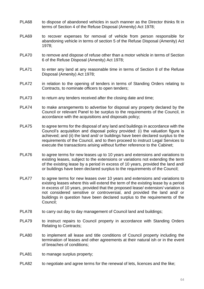- PLA68 to dispose of abandoned vehicles in such manner as the Director thinks fit in terms of Section 4 of the Refuse Disposal (Amenity) Act 1978;
- PLA69 to recover expenses for removal of vehicle from person responsible for abandoning vehicle in terms of section 5 of the Refuse Disposal (Amenity) Act 1978;
- PLA70 to remove and dispose of refuse other than a motor vehicle in terms of Section 6 of the Refuse Disposal (Amenity) Act 1978;
- PLA71 to enter any land at any reasonable time in terms of Section 8 of the Refuse Disposal (Amenity) Act 1978;
- PLA72 in relation to the opening of tenders in terms of Standing Orders relating to Contracts, to nominate officers to open tenders;
- PLA73 to return any tenders received after the closing date and time;
- PLA74 to make arrangements to advertise for disposal any property declared by the Council or relevant Panel to be surplus to the requirements of the Council, in accordance with the acquisitions and disposals policy;
- PLA75 to agree terms for the disposal of any land and buildings in accordance with the Council's acquisition and disposal policy provided: (i) the valuation figure is achieved; and (ii) the land and/ or buildings have been declared surplus to the requirements of the Council, and to then proceed to instruct Legal Services to execute the transactions arising without further reference to the Cabinet;
- PLA76 to agree terms for new leases up to 10 years and extensions and variations to existing leases, subject to the extensions or variations not extending the term of the existing lease by a period in excess of 10 years, provided the land and/ or buildings have been declared surplus to the requirements of the Council;
- PLA77 to agree terms for new leases over 10 years and extensions and variations to existing leases where this will extend the term of the existing lease by a period in excess of 10 years, provided that the proposed lease/ extension/ variation is not considered sensitive or controversial, and provided the land and/ or buildings in question have been declared surplus to the requirements of the Council;
- PLA78 to carry out day to day management of Council land and buildings;
- PLA79 to instruct repairs to Council property in accordance with Standing Orders Relating to Contracts;
- PLA80 to implement all lease and title conditions of Council property including the termination of leases and other agreements at their natural ish or in the event of breaches of conditions;
- PLA81 to manage surplus property;
- PLA82 to negotiate and agree terms for the renewal of lets, licences and the like;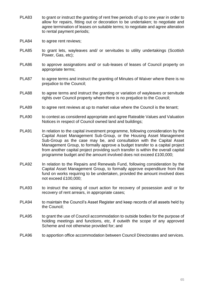- PLA83 to grant or instruct the granting of rent free periods of up to one year in order to allow for repairs, fitting out or decoration to be undertaken; to negotiate and agree termination of leases on suitable terms; to negotiate and agree alteration to rental payment periods;
- PLA84 to agree rent reviews;
- PLA85 to grant lets, wayleaves and/ or servitudes to utility undertakings (Scottish Power, Gas, etc);
- PLA86 to approve assignations and/ or sub-leases of leases of Council property on appropriate terms;
- PLA87 to agree terms and instruct the granting of Minutes of Waiver where there is no prejudice to the Council;
- PLA88 to agree terms and instruct the granting or variation of wayleaves or servitude rights over Council property where there is no prejudice to the Council;
- PLA89 to agree rent reviews at up to market value where the Council is the tenant;
- PLA90 to contest as considered appropriate and agree Rateable Values and Valuation Notices in respect of Council owned land and buildings;
- PLA91 In relation to the capital investment programme, following consideration by the Capital Asset Management Sub-Group, or the Housing Asset Management Sub-Group as the case may be, and consultation with the Capital Asset Management Group, to formally approve a budget transfer to a capital project from another capital project providing such transfer is within the overall capital programme budget and the amount involved does not exceed £100,000;
- PLA92 In relation to the Repairs and Renewals Fund, following consideration by the Capital Asset Management Group, to formally approve expenditure from that fund on works requiring to be undertaken, provided the amount involved does not exceed £100,000;
- PLA93 to instruct the raising of court action for recovery of possession and/ or for recovery of rent arrears, in appropriate cases;
- PLA94 to maintain the Council's Asset Register and keep records of all assets held by the Council;
- PLA95 to grant the use of Council accommodation to outside bodies for the purpose of holding meetings and functions, etc, if outwith the scope of any approved Scheme and not otherwise provided for; and
- PLA96 to apportion office accommodation between Council Directorates and services.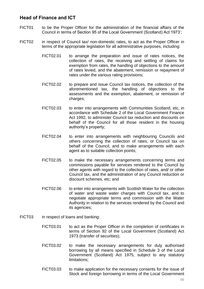## <span id="page-68-0"></span>**Head of Finance and ICT**

- FICT01 to be the Proper Officer for the administration of the financial affairs of the Council in terms of Section 95 of the Local Government (Scotland) Act 1973';
- FICT02 in respect of Council tax/ non-domestic rates, to act as the Proper Officer in terms of the appropriate legislation for all administrative purposes, including:
	- FICT02.01 to arrange the preparation and issue of rates notices, the collection of rates, the receiving and settling of claims for exemption from rates, the handling of objections to the amount of rates levied, and the abatement, remission or repayment of rates under the various rating provisions;
	- FICT02.02 to prepare and issue Council tax notices, the collection of the aforementioned tax, the handling of objections to the assessments and the exemption, abatement, or remission of charges;
	- FICT02.03 to enter into arrangements with Communities Scotland, etc, in accordance with Schedule 2 of the Local Government Finance Act 1992, to administer Council tax reduction and discounts on behalf of the Council for all those resident in the housing authority's property;
	- FICT02.04 to enter into arrangements with neighbouring Councils and others concerning the collection of rates, or Council tax on behalf of the Council, and to make arrangements with each agent as to suitable collection points;
	- FICT02.05 to make the necessary arrangements concerning terms and commissions payable for services rendered to the Council by other agents with regard to the collection of rates, and/ or other Council tax, and the administration of any Council reduction or discount schemes, etc; and
	- FICT02.06 to enter into arrangements with Scottish Water for the collection of water and waste water charges with Council tax, and to negotiate appropriate terms and commission with the Water Authority in relation to the services rendered by the Council and its agencies;
- FICT03 in respect of loans and banking:
	- FICT03.01 to act as the Proper Officer in the completion of certificates in terms of Section 92 of the Local Government (Scotland) Act 1973 (transfer of securities);
	- FICT03.02 to make the necessary arrangements for duly authorised borrowing by all means specified in Schedule 3 of the Local Government (Scotland) Act 1975, subject to any statutory limitations;
	- FICT03.03 to make application for the necessary consents for the issue of Stock and foreign borrowing in terms of the Local Government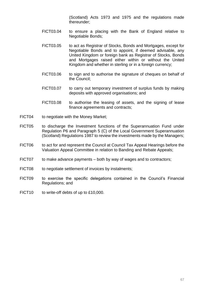(Scotland) Acts 1973 and 1975 and the regulations made thereunder;

- FICT03.04 to ensure a placing with the Bank of England relative to Negotiable Bonds;
- FICT03.05 to act as Registrar of Stocks, Bonds and Mortgages, except for Negotiable Bonds and to appoint, if deemed advisable, any United Kingdom or foreign bank as Registrar of Stocks, Bonds and Mortgages raised either within or without the United Kingdom and whether in sterling or in a foreign currency;
- FICT03.06 to sign and to authorise the signature of cheques on behalf of the Council;
- FICT03.07 to carry out temporary investment of surplus funds by making deposits with approved organisations; and
- FICT03.08 to authorise the leasing of assets, and the signing of lease finance agreements and contracts;
- FICT04 to negotiate with the Money Market;
- FICT05 to discharge the Investment functions of the Superannuation Fund under Regulation P6 and Paragraph 5 (C) of the Local Government Superannuation (Scotland) Regulations 1987 to review the investments made by the Managers;
- FICT06 to act for and represent the Council at Council Tax Appeal Hearings before the Valuation Appeal Committee in relation to Banding and Rebate Appeals;
- FICT07 to make advance payments both by way of wages and to contractors;
- FICT08 to negotiate settlement of invoices by instalments;
- FICT09 to exercise the specific delegations contained in the Council's Financial Regulations; and
- FICT10 to write-off debts of up to £10,000.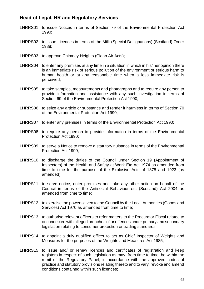## <span id="page-70-0"></span>**Head of Legal, HR and Regulatory Services**

- LHRRS01 to issue Notices in terms of Section 79 of the Environmental Protection Act 1990;
- LHRRS02 to issue Licences in terms of the Milk (Special Designations) (Scotland) Order 1988;
- LHRRS03 to approve Chimney Heights (Clean Air Acts);
- LHRRS04 to enter any premises at any time in a situation in which in his/ her opinion there is an immediate risk of serious pollution of the environment or serious harm to human health or at any reasonable time when a less immediate risk is perceived;
- LHRRS05 to take samples, measurements and photographs and to require any person to provide information and assistance with any such investigation in terms of Section 69 of the Environmental Protection Act 1990;
- LHRRS06 to seize any article or substance and render it harmless in terms of Section 70 of the Environmental Protection Act 1990;
- LHRRS07 to enter any premises in terms of the Environmental Protection Act 1990;
- LHRRS08 to require any person to provide information in terms of the Environmental Protection Act 1990;
- LHRRS09 to serve a Notice to remove a statutory nuisance in terms of the Environmental Protection Act 1990;
- LHRRS10 to discharge the duties of the Council under Section 19 (Appointment of Inspectors) of the Health and Safety at Work Etc Act 1974 as amended from time to time for the purpose of the Explosive Acts of 1875 and 1923 (as amended);
- LHRRS11 to serve notice, enter premises and take any other action on behalf of the Council in terms of the Antisocial Behaviour etc (Scotland) Act 2004 as amended from time to time;
- LHRRS12 to exercise the powers given to the Council by the Local Authorities (Goods and Services) Act 1970 as amended from time to time;
- LHRRS13 to authorise relevant officers to refer matters to the Procurator Fiscal related to or connected with alleged breaches of or offences under primary and secondary legislation relating to consumer protection or trading standards;
- LHRRS14 to appoint a duly qualified officer to act as Chief Inspector of Weights and Measures for the purposes of the Weights and Measures Act 1985;
- LHRRS15 to issue and/ or renew licences and certificates of registration and keep registers in respect of such legislation as may, from time to time, be within the remit of the Regulatory Panel, in accordance with the approved codes of practice and statutory provisions relating thereto and to vary, revoke and amend conditions contained within such licences;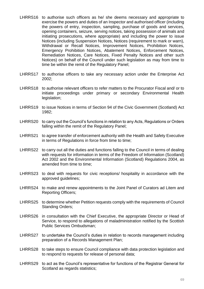- LHRRS16 to authorise such officers as he/ she deems necessary and appropriate to exercise the powers and duties of an Inspector and authorised officer (including the powers of entry, inspection, sampling, purchase of goods and services, opening containers, seizure, serving notices, taking possession of animals and initiating prosecutions, where appropriate) and including the power to issue Notices (including Suspension Notices, Notices (requirement to mark or warn), Withdrawal or Recall Notices, Improvement Notices, Prohibition Notices, Emergency Prohibition Notices, Abatement Notices, Enforcement Notices, Remediation Notices, Care Notices, Fixed Penalty Notices and other such Notices) on behalf of the Council under such legislation as may from time to time be within the remit of the Regulatory Panel;
- LHRRS17 to authorise officers to take any necessary action under the Enterprise Act 2002;
- LHRRS18 to authorise relevant officers to refer matters to the Procurator Fiscal and/ or to initiate proceedings under primary or secondary Environmental Health legislation;
- LHRRS19 to issue Notices in terms of Section 94 of the Civic Government (Scotland) Act 1982;
- LHRRS20 to carry out the Council's functions in relation to any Acts, Regulations or Orders falling within the remit of the Regulatory Panel;
- LHRRS21 to agree transfer of enforcement authority with the Health and Safety Executive in terms of Regulations in force from time to time;
- LHRRS22 to carry out all the duties and functions falling to the Council in terms of dealing with requests for information in terms of the Freedom of Information (Scotland) Act 2002 and the Environmental Information (Scotland) Regulations 2004, as amended from time to time;
- LHRRS23 to deal with requests for civic receptions/ hospitality in accordance with the approved guidelines;
- LHRRS24 to make and renew appointments to the Joint Panel of Curators ad Litem and Reporting Officers;
- LHRRS25 to determine whether Petition requests comply with the requirements of Council Standing Orders;
- LHRRS26 in consultation with the Chief Executive, the appropriate Director or Head of Service, to respond to allegations of maladministration notified by the Scottish Public Services Ombudsman;
- LHRRS27 to undertake the Council's duties in relation to records management including preparation of a Records Management Plan;
- LHRRS28 to take steps to ensure Council compliance with data protection legislation and to respond to requests for release of personal data;
- LHRRS29 to act as the Council's representative for functions of the Registrar General for Scotland as regards statistics;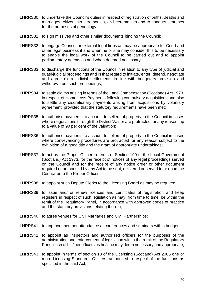- LHRRS30 to undertake the Council's duties in respect of registration of births, deaths and marriages, citizenship ceremonies, civil ceremonies and to conduct searches for the purposes of genealogy;
- LHRRS31 to sign missives and other similar documents binding the Council:
- LHRRS32 to engage Counsel or external legal firms as may be appropriate for Court and other legal business if and when he or she may consider this to be necessary to enable the legal work of the Council to be carried out and to appoint parliamentary agents as and when deemed necessary;
- LHRRS33 to discharge the functions of the Council in relation to any type of judicial and quasi-judicial proceedings and in that regard to initiate, enter, defend, negotiate and agree extra judicial settlements in line with budgetary provision and withdraw from such proceedings;
- LHRRS34 to settle claims arising in terms of the Land Compensation (Scotland) Act 1973, in respect of Home Loss Payments following compulsory acquisitions and also to settle any discretionary payments arising from acquisitions by voluntary agreement, provided that the statutory requirements have been met:
- LHRRS35 to authorise payments to account to sellers of property to the Council in cases where negotiations through the District Valuer are protracted for any reason, up to a value of 90 per cent of the valuation;
- LHRRS36 to authorise payments to account to sellers of property to the Council in cases where conveyancing procedures are protracted for any reason subject to the exhibition of a good title and the grant of appropriate undertakings;
- LHRRS37 to act as the Proper Officer in terms of Section 190 of the Local Government (Scotland) Act 1973, for the receipt of notices of any legal proceedings served on the Council and for the receipt of any notice order or other document required or authorised by any Act to be sent, delivered or served to or upon the Council or to the Proper Officer;
- LHRRS38 to appoint such Depute Clerks to the Licensing Board as may be required;
- LHRRS39 to issue and/ or renew licences and certificates of registration and keep registers in respect of such legislation as may, from time to time, be within the remit of the Regulatory Panel, in accordance with approved codes of practice and the statutory provisions relating thereto;
- LHRRS40 to agree venues for Civil Marriages and Civil Partnerships;
- LHRRS41 to approve member attendance at conferences and seminars within budget;
- LHRRS42 to appoint as Inspectors and authorised officers for the purposes of the administration and enforcement of legislation within the remit of the Regulatory Panel such of his/ her officers as he/ she may deem necessary and appropriate;
- LHRRS43 to appoint in terms of section 13 of the Licensing (Scotland) Act 2005 one or more Licensing Standards Officers, authorised in respect of the functions as specified in the said Act;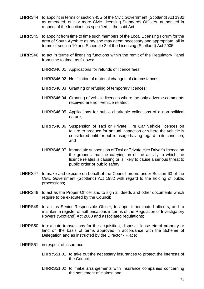- LHRRS44 to appoint in terms of section 45G of the Civic Government (Scotland) Act 1982 as amended, one or more Civic Licensing Standards Officers, authorised in respect of the functions as specified in the said Act;
- LHRRS45 to appoint from time to time such members of the Local Licensing Forum for the area of South Ayrshire as he/ she may deem necessary and appropriate, all in terms of section 10 and Schedule 2 of the Licensing (Scotland) Act 2005;
- LHRRS46 to act in terms of licensing functions within the remit of the Regulatory Panel from time to time, as follows:
	- LHRRS46.01 Applications for refunds of licence fees;
	- LHRRS46.02 Notification of material changes of circumstances;
	- LHRRS46.03 Granting or refusing of temporary licences;
	- LHRRS46.04 Granting of vehicle licences where the only adverse comments received are non-vehicle related;
	- LHRRS46.05 Applications for public charitable collections of a non-political nature;
	- LHRRS46.06 Suspension of Taxi or Private Hire Car Vehicle licences on failure to produce for annual inspection or where the vehicle is considered unfit for public usage having regard to its condition; and
	- LHRRS46.07 Immediate suspension of Taxi or Private Hire Driver's licence on the grounds that the carrying on of the activity to which the licence relates is causing or is likely to cause a serious threat to public order or public safety.
- LHRRS47 to make and execute on behalf of the Council orders under Section 63 of the Civic Government (Scotland) Act 1982 with regard to the holding of public processions;
- LHRRS48 to act as the Proper Officer and to sign all deeds and other documents which require to be executed by the Council;
- LHRRS49 to act as Senior Responsible Officer, to appoint nominated officers, and to maintain a register of authorisations in terms of the Regulation of Investigatory Powers (Scotland) Act 2000 and associated regulations;
- LHRRS50 to execute transactions for the acquisition, disposal, lease etc of property or land on the basis of terms approved in accordance with the Scheme of Delegation and as instructed by the Director - Place;
- LHRRS51 in respect of insurance:
	- LHRRS51.01 to take out the necessary insurances to protect the interests of the Council;
	- LHRRS51.02 to make arrangements with insurance companies concerning the settlement of claims; and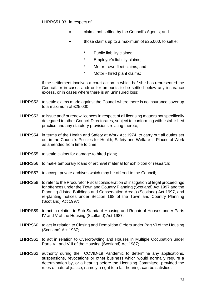LHRRS51.03 in respect of:

- claims not settled by the Council's Agents; and
- those claims up to a maximum of £25,000, to settle:
	- Public liability claims;
	- Employer's liability claims;
	- \* Motor own fleet claims; and
	- \* Motor hired plant claims;

if the settlement involves a court action in which he/ she has represented the Council, or in cases and/ or for amounts to be settled below any insurance excess, or in cases where there is an uninsured loss;

- LHRRS52 to settle claims made against the Council where there is no insurance cover up to a maximum of £25,000;
- LHRRS53 to issue and/ or renew licences in respect of all licensing matters not specifically delegated to other Council Directorates, subject to conforming with established practice and any statutory provisions relating thereto;
- LHRRS54 in terms of the Health and Safety at Work Act 1974, to carry out all duties set out in the Council's Policies for Health, Safety and Welfare in Places of Work as amended from time to time;
- LHRRS55 to settle claims for damage to hired plant;
- LHRRS56 to make temporary loans of archival material for exhibition or research;
- LHRRS57 to accept private archives which may be offered to the Council;
- LHRRS58 to refer to the Procurator Fiscal consideration of instigation of legal proceedings for offences under the Town and Country Planning (Scotland) Act 1997 and the Planning (Listed Buildings and Conservation Areas) (Scotland) Act 1997, and re-planting notices under Section 168 of the Town and Country Planning (Scotland) Act 1997;
- LHRRS59 to act in relation to Sub-Standard Housing and Repair of Houses under Parts IV and V of the Housing (Scotland) Act 1987;
- LHRRS60 to act in relation to Closing and Demolition Orders under Part VI of the Housing (Scotland) Act 1987;
- LHRRS61 to act in relation to Overcrowding and Houses in Multiple Occupation under Parts VII and VIII of the Housing (Scotland) Act 1987;
- LHRRS62 authority during the COVID-19 Pandemic to determine any applications, suspensions, revocations or other business which would normally require a determination by, or a hearing before the Licensing Committee, provided the rules of natural justice, namely a right to a fair hearing, can be satisfied;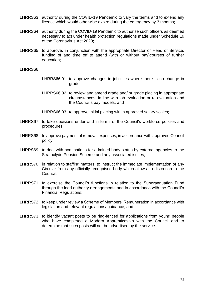- LHRRS63 authority during the COVID-19 Pandemic to vary the terms and to extend any licence which would otherwise expire during the emergency by 3 months;
- LHRRS64 authority during the COVID-19 Pandemic to authorise such officers as deemed necessary to act under health protection regulations made under Schedule 19 of the Coronavirus Act 2020;
- LHRRS65 to approve, in conjunction with the appropriate Director or Head of Service, funding of and time off to attend (with or without pay)courses of further education;

LHRRS66

- LHRRS66.01 to approve changes in job titles where there is no change in grade;
- LHRRS66.02 to review and amend grade and/ or grade placing in appropriate circumstances, in line with job evaluation or re-evaluation and the Council's pay models; and

LHRRS66.03 to approve initial placing within approved salary scales;

- LHRRS67 to take decisions under and in terms of the Council's workforce policies and procedures;
- LHRRS68 to approve payment of removal expenses, in accordance with approved Council policy;
- LHRRS69 to deal with nominations for admitted body status by external agencies to the Strathclyde Pension Scheme and any associated issues;
- LHRRS70 in relation to staffing matters, to instruct the immediate implementation of any Circular from any officially recognised body which allows no discretion to the Council;
- LHRRS71 to exercise the Council's functions in relation to the Superannuation Fund through the lead authority arrangements and in accordance with the Council's Financial Regulations;
- LHRRS72 to keep under review a Scheme of Members' Remuneration in accordance with legislation and relevant regulations/ guidance; and
- LHRRS73 to identify vacant posts to be ring-fenced for applications from young people who have completed a Modern Apprenticeship with the Council and to determine that such posts will not be advertised by the service.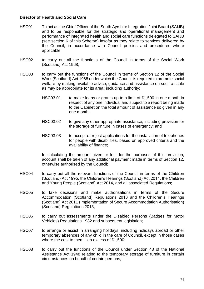## **Director of Health and Social Care**

- HSC01 To act as the Chief Officer of the South Ayrshire Integration Joint Board (SAIJB) and to be responsible for the strategic and operational management and performance of integrated health and social care functions delegated to SAIJB (see section 6 of this Scheme) insofar as they relate to services delivered by the Council, in accordance with Council policies and procedures where applicable;
- HSC02 to carry out all the functions of the Council in terms of the Social Work (Scotland) Act 1968;
- HSC03 to carry out the functions of the Council in terms of Section 12 of the Social Work (Scotland) Act 1968 under which the Council is required to promote social welfare by making available advice, guidance and assistance on such a scale as may be appropriate for its area**;** including authority:
	- HSC03.01 to make loans or grants up to a limit of £1,500 in one month in respect of any one individual and subject to a report being made to the Cabinet on the total amount of assistance so given in any one month;
	- HSC03.02 to give any other appropriate assistance, including provision for the storage of furniture in cases of emergency; and
	- HSC03.03 to accept or reject applications for the installation of telephones for people with disabilities, based on approved criteria and the availability of finance;

In calculating the amount given or lent for the purposes of this provision, account shall be taken of any additional payment made in terms of Section 12, otherwise authorised by the Council;

- HSC04 to carry out all the relevant functions of the Council in terms of the Children (Scotland) Act 1995, the Children's Hearings (Scotland) Act 2011, the Children and Young People (Scotland) Act 2014, and all associated Regulations;
- HSC05 to take decisions and make authorisations in terms of the Secure Accommodation (Scotland) Regulations 2013 and the Children's Hearings (Scotland) Act 2011 (Implementation of Secure Accommodation Authorisation) (Scotland) Regulations 2013;
- HSC06 to carry out assessments under the Disabled Persons (Badges for Motor Vehicles) Regulations 1982 and subsequent legislation;
- HSC07 to arrange or assist in arranging holidays, including holidays abroad or other temporary absences of any child in the care of Council, except in those cases where the cost to them is in excess of £1,500;
- HSC08 to carry out the functions of the Council under Section 48 of the National Assistance Act 1948 relating to the temporary storage of furniture in certain circumstances on behalf of certain persons;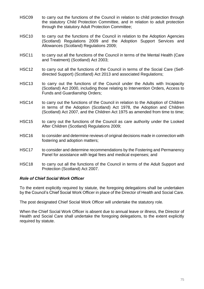- HSC09 to carry out the functions of the Council in relation to child protection through the statutory Child Protection Committee, and in relation to adult protection through the statutory Adult Protection Committee;
- HSC10 to carry out the functions of the Council in relation to the Adoption Agencies (Scotland) Regulations 2009 and the Adoption Support Services and Allowances (Scotland) Regulations 2009;
- HSC11 to carry out all the functions of the Council in terms of the Mental Health (Care and Treatment) (Scotland) Act 2003;
- HSC12 to carry out all the functions of the Council in terms of the Social Care (Selfdirected Support) (Scotland) Act 2013 and associated Regulations;
- HSC13 to carry out the functions of the Council under the Adults with Incapacity (Scotland) Act 2000, including those relating to Intervention Orders, Access to Funds and Guardianship Orders;
- HSC14 to carry out the functions of the Council in relation to the Adoption of Children in terms of the Adoption (Scotland) Act 1978, the Adoption and Children (Scotland) Act 2007, and the Children Act 1975 as amended from time to time;
- HSC15 to carry out the functions of the Council as care authority under the Looked After Children (Scotland) Regulations 2009;
- HSC16 to consider and determine reviews of original decisions made in connection with fostering and adoption matters;
- HSC17 to consider and determine recommendations by the Fostering and Permanency Panel for assistance with legal fees and medical expenses; and
- HSC18 to carry out all the functions of the Council in terms of the Adult Support and Protection (Scotland) Act 2007.

## *Role of Chief Social Work Officer*

To the extent explicitly required by statute, the foregoing delegations shall be undertaken by the Council's Chief Social Work Officer in place of the Director of Health and Social Care.

The post designated Chief Social Work Officer will undertake the statutory role.

When the Chief Social Work Officer is absent due to annual leave or illness, the Director of Health and Social Care shall undertake the foregoing delegations, to the extent explicitly required by statute.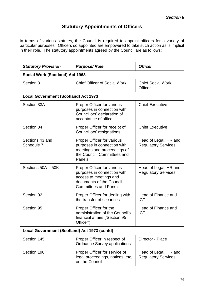## **Statutory Appointments of Officers**

In terms of various statutes, the Council is required to appoint officers for a variety of particular purposes. Officers so appointed are empowered to take such action as is implicit in their role. The statutory appointments agreed by the Council are as follows:

| <b>Statutory Provision</b>                   | <b>Purpose/Role</b>                                                                                                                                     | <b>Officer</b>                                      |  |
|----------------------------------------------|---------------------------------------------------------------------------------------------------------------------------------------------------------|-----------------------------------------------------|--|
| <b>Social Work (Scotland) Act 1968</b>       |                                                                                                                                                         |                                                     |  |
| Section 3                                    | <b>Chief Officer of Social Work</b>                                                                                                                     | <b>Chief Social Work</b><br>Officer                 |  |
| <b>Local Government (Scotland) Act 1973</b>  |                                                                                                                                                         |                                                     |  |
| Section 33A                                  | <b>Proper Officer for various</b><br>purposes in connection with<br>Councillors' declaration of<br>acceptance of office                                 | <b>Chief Executive</b>                              |  |
| Section 34                                   | Proper Officer for receipt of<br>Councillors' resignations                                                                                              | <b>Chief Executive</b>                              |  |
| Sections 43 and<br>Schedule 7                | <b>Proper Officer for various</b><br>purposes in connection with<br>meetings and proceedings of<br>the Council, Committees and<br>Panels                | Head of Legal, HR and<br><b>Regulatory Services</b> |  |
| Sections 50A - 50K                           | <b>Proper Officer for various</b><br>purposes in connection with<br>access to meetings and<br>documents of the Council,<br><b>Committees and Panels</b> | Head of Legal, HR and<br><b>Regulatory Services</b> |  |
| Section 92                                   | Proper Officer for dealing with<br>the transfer of securities                                                                                           | Head of Finance and<br><b>ICT</b>                   |  |
| Section 95                                   | Proper Officer for the<br>administration of the Council's<br>financial affairs ('Section 95<br>Officer')                                                | Head of Finance and<br><b>ICT</b>                   |  |
| Local Government (Scotland) Act 1973 (contd) |                                                                                                                                                         |                                                     |  |
| Section 145                                  | Proper Officer in respect of<br><b>Ordnance Survey applications</b>                                                                                     | Director - Place                                    |  |
| Section 190                                  | Proper Officer for service of<br>legal proceedings, notices, etc,<br>on the Council                                                                     | Head of Legal, HR and<br><b>Regulatory Services</b> |  |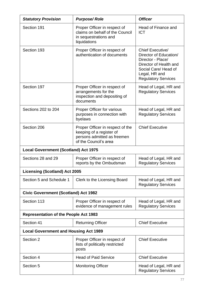| <b>Statutory Provision</b>                   | <b>Purpose/Role</b>                                                                                                  | <b>Officer</b>                                                                                                                                                          |  |
|----------------------------------------------|----------------------------------------------------------------------------------------------------------------------|-------------------------------------------------------------------------------------------------------------------------------------------------------------------------|--|
| Section 191                                  | Proper Officer in respect of<br>claims on behalf of the Council<br>in sequestrations and<br>liquidations             | Head of Finance and<br><b>ICT</b>                                                                                                                                       |  |
| Section 193                                  | Proper Officer in respect of<br>authentication of documents                                                          | <b>Chief Executive/</b><br>Director of Education/<br>Director - Place/<br>Director of Health and<br>Social Care/ Head of<br>Legal, HR and<br><b>Regulatory Services</b> |  |
| Section 197                                  | Proper Officer in respect of<br>arrangements for the<br>inspection and depositing of<br>documents                    | Head of Legal, HR and<br><b>Regulatory Services</b>                                                                                                                     |  |
| Sections 202 to 204                          | <b>Proper Officer for various</b><br>purposes in connection with<br>byelaws                                          | Head of Legal, HR and<br><b>Regulatory Services</b>                                                                                                                     |  |
| Section 206                                  | Proper Officer in respect of the<br>keeping of a register of<br>persons admitted as freemen<br>of the Council's area | <b>Chief Executive</b>                                                                                                                                                  |  |
| <b>Local Government (Scotland) Act 1975</b>  |                                                                                                                      |                                                                                                                                                                         |  |
| Sections 28 and 29                           | Proper Officer in respect of<br>reports by the Ombudsman                                                             | Head of Legal, HR and<br><b>Regulatory Services</b>                                                                                                                     |  |
| <b>Licensing (Scotland) Act 2005</b>         |                                                                                                                      |                                                                                                                                                                         |  |
| Section 5 and Schedule 1                     | Clerk to the Licensing Board                                                                                         | Head of Legal, HR and<br><b>Regulatory Services</b>                                                                                                                     |  |
| <b>Civic Government (Scotland) Act 1982</b>  |                                                                                                                      |                                                                                                                                                                         |  |
| Section 113                                  | Proper Officer in respect of<br>evidence of management rules                                                         | Head of Legal, HR and<br><b>Regulatory Services</b>                                                                                                                     |  |
| <b>Representation of the People Act 1983</b> |                                                                                                                      |                                                                                                                                                                         |  |
| Section 41                                   | <b>Returning Officer</b>                                                                                             | <b>Chief Executive</b>                                                                                                                                                  |  |
| <b>Local Government and Housing Act 1989</b> |                                                                                                                      |                                                                                                                                                                         |  |
| Section 2                                    | Proper Officer in respect of<br>lists of politically restricted<br>posts                                             | <b>Chief Executive</b>                                                                                                                                                  |  |
| Section 4                                    | <b>Head of Paid Service</b>                                                                                          | <b>Chief Executive</b>                                                                                                                                                  |  |
| Section 5                                    | <b>Monitoring Officer</b>                                                                                            | Head of Legal, HR and<br><b>Regulatory Services</b>                                                                                                                     |  |